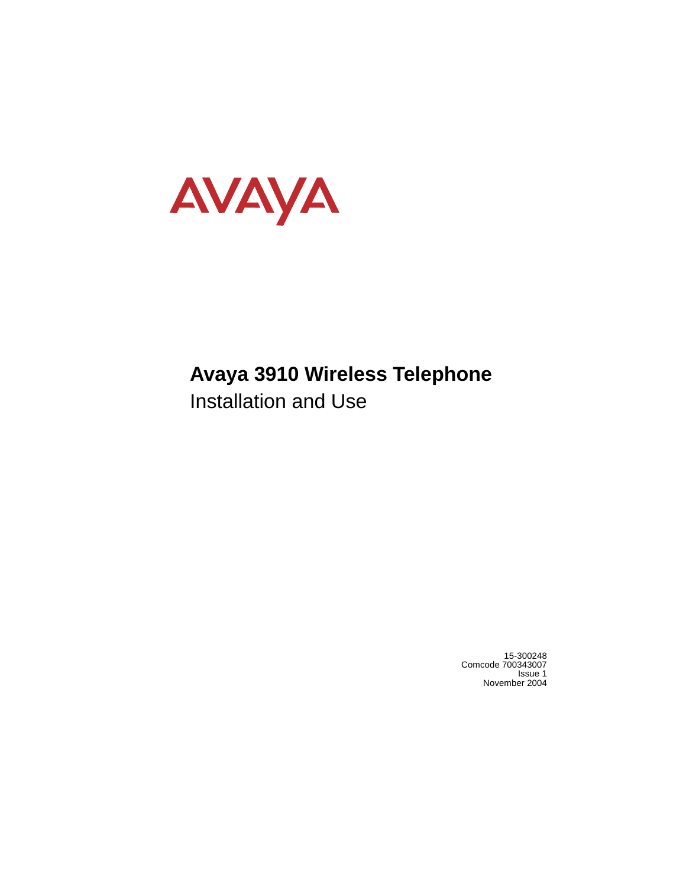

# **Avaya 3910 Wireless Telephone** Installation and Use

15-300248 Comcode 700343007 Issue 1 November 2004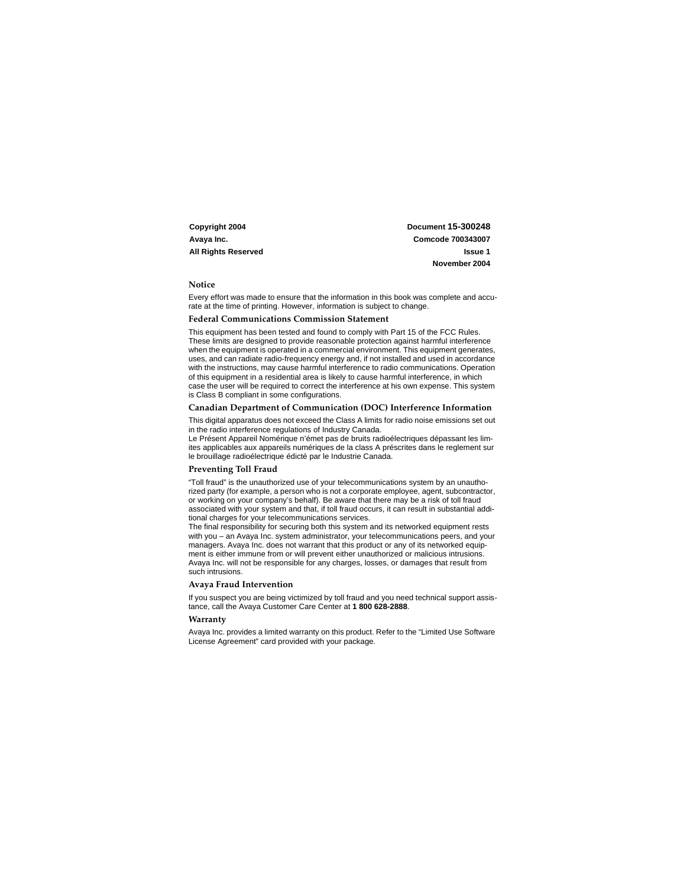**Copyright 2004 Document 15-300248 Avaya Inc. Comcode 700343007 All Rights Reserved issue 1 November 2004**

#### **Notice**

Every effort was made to ensure that the information in this book was complete and accurate at the time of printing. However, information is subject to change.

#### **Federal Communications Commission Statement**

This equipment has been tested and found to comply with Part 15 of the FCC Rules. These limits are designed to provide reasonable protection against harmful interference when the equipment is operated in a commercial environment. This equipment generates, uses, and can radiate radio-frequency energy and, if not installed and used in accordance with the instructions, may cause harmful interference to radio communications. Operation of this equipment in a residential area is likely to cause harmful interference, in which case the user will be required to correct the interference at his own expense. This system is Class B compliant in some configurations.

#### **Canadian Department of Communication (DOC) Interference Information**

This digital apparatus does not exceed the Class A limits for radio noise emissions set out in the radio interference regulations of Industry Canada.

Le Présent Appareil Nomérique n'émet pas de bruits radioélectriques dépassant les limites applicables aux appareils numériques de la class A préscrites dans le reglement sur le brouillage radioélectrique édicté par le Industrie Canada.

#### **Preventing Toll Fraud**

"Toll fraud" is the unauthorized use of your telecommunications system by an unauthorized party (for example, a person who is not a corporate employee, agent, subcontractor, or working on your company's behalf). Be aware that there may be a risk of toll fraud associated with your system and that, if toll fraud occurs, it can result in substantial additional charges for your telecommunications services.

The final responsibility for securing both this system and its networked equipment rests with you – an Avaya Inc. system administrator, your telecommunications peers, and your managers. Avaya Inc. does not warrant that this product or any of its networked equipment is either immune from or will prevent either unauthorized or malicious intrusions. Avaya Inc. will not be responsible for any charges, losses, or damages that result from such intrusions.

#### **Avaya Fraud Intervention**

If you suspect you are being victimized by toll fraud and you need technical support assistance, call the Avaya Customer Care Center at **1 800 628-2888**.

#### **Warranty**

Avaya Inc. provides a limited warranty on this product. Refer to the "Limited Use Software License Agreement" card provided with your package.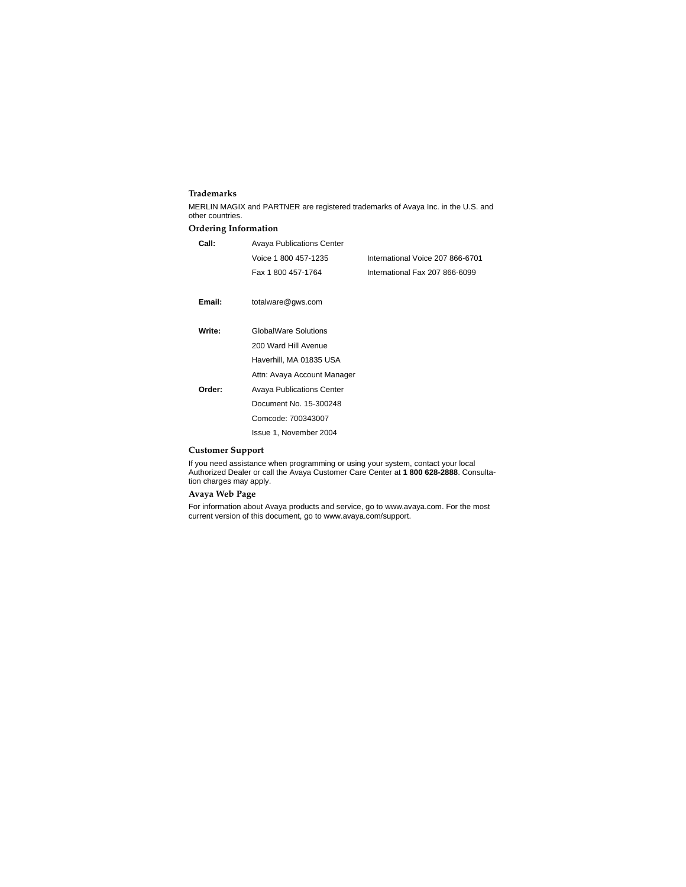#### **Trademarks**

MERLIN MAGIX and PARTNER are registered trademarks of Avaya Inc. in the U.S. and other countries.

#### **Ordering Information**

| Call:  | <b>Avaya Publications Center</b> |                                  |
|--------|----------------------------------|----------------------------------|
|        | Voice 1 800 457-1235             | International Voice 207 866-6701 |
|        | Fax 1 800 457-1764               | International Fax 207 866-6099   |
|        |                                  |                                  |
| Email: | totalware@gws.com                |                                  |
|        |                                  |                                  |
| Write: | GlobalWare Solutions             |                                  |
|        | 200 Ward Hill Avenue             |                                  |
|        | Haverhill, MA 01835 USA          |                                  |
|        | Attn: Avaya Account Manager      |                                  |
| Order: | <b>Avaya Publications Center</b> |                                  |
|        | Document No. 15-300248           |                                  |
|        | Comcode: 700343007               |                                  |
|        | Issue 1, November 2004           |                                  |
|        |                                  |                                  |

#### **Customer Support**

If you need assistance when programming or using your system, contact your local Authorized Dealer or call the Avaya Customer Care Center at **1 800 628-2888**. Consultation charges may apply.

#### **Avaya Web Page**

For information about Avaya products and service, go to www.avaya.com. For the most current version of this document, go to www.avaya.com/support.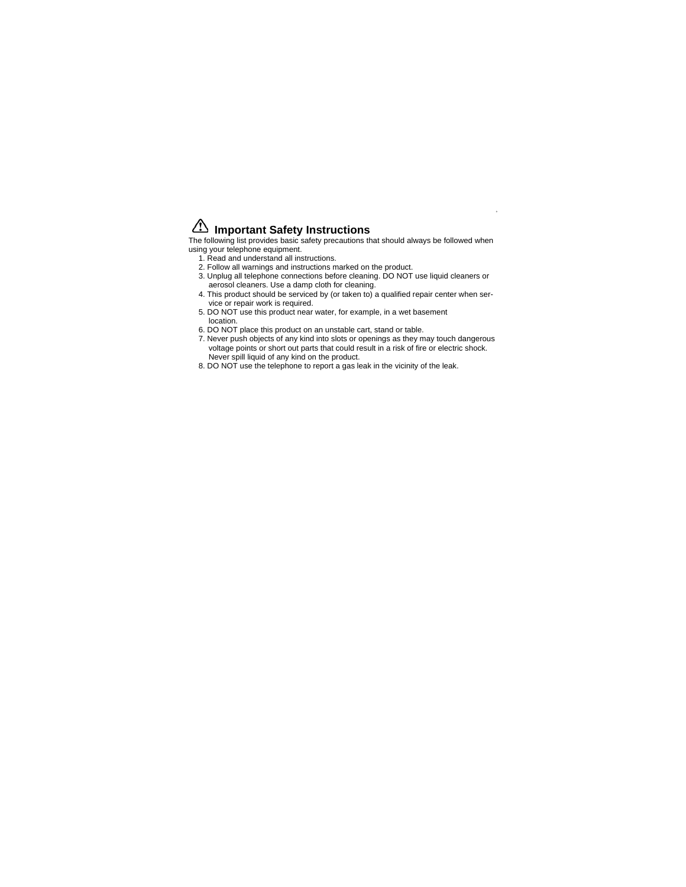

The following list provides basic safety precautions that should always be followed when using your telephone equipment.

- 1. Read and understand all instructions.
- 2. Follow all warnings and instructions marked on the product.
- 3. Unplug all telephone connections before cleaning. DO NOT use liquid cleaners or aerosol cleaners. Use a damp cloth for cleaning.
- 4. This product should be serviced by (or taken to) a qualified repair center when service or repair work is required.
- 5. DO NOT use this product near water, for example, in a wet basement location.
- 6. DO NOT place this product on an unstable cart, stand or table.
- 7. Never push objects of any kind into slots or openings as they may touch dangerous voltage points or short out parts that could result in a risk of fire or electric shock. Never spill liquid of any kind on the product.
- 8. DO NOT use the telephone to report a gas leak in the vicinity of the leak.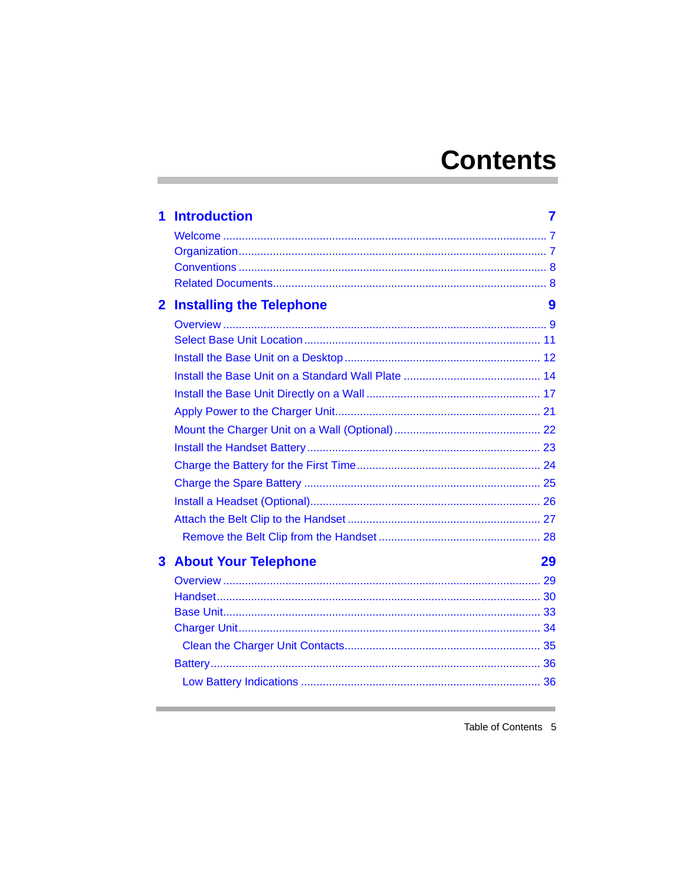# **Contents**

| 1            | <b>Introduction</b>             | 7  |  |
|--------------|---------------------------------|----|--|
|              |                                 |    |  |
|              |                                 |    |  |
|              |                                 |    |  |
|              |                                 |    |  |
| $\mathbf{2}$ | <b>Installing the Telephone</b> | 9  |  |
|              |                                 |    |  |
|              |                                 |    |  |
|              |                                 |    |  |
|              |                                 |    |  |
|              |                                 |    |  |
|              |                                 |    |  |
|              |                                 |    |  |
|              |                                 |    |  |
|              |                                 |    |  |
|              |                                 |    |  |
|              |                                 |    |  |
|              |                                 |    |  |
|              |                                 |    |  |
| 3            | <b>About Your Telephone</b>     | 29 |  |
|              |                                 |    |  |
|              |                                 |    |  |
|              |                                 |    |  |
|              |                                 |    |  |
|              |                                 |    |  |
|              |                                 |    |  |
|              |                                 |    |  |
|              |                                 |    |  |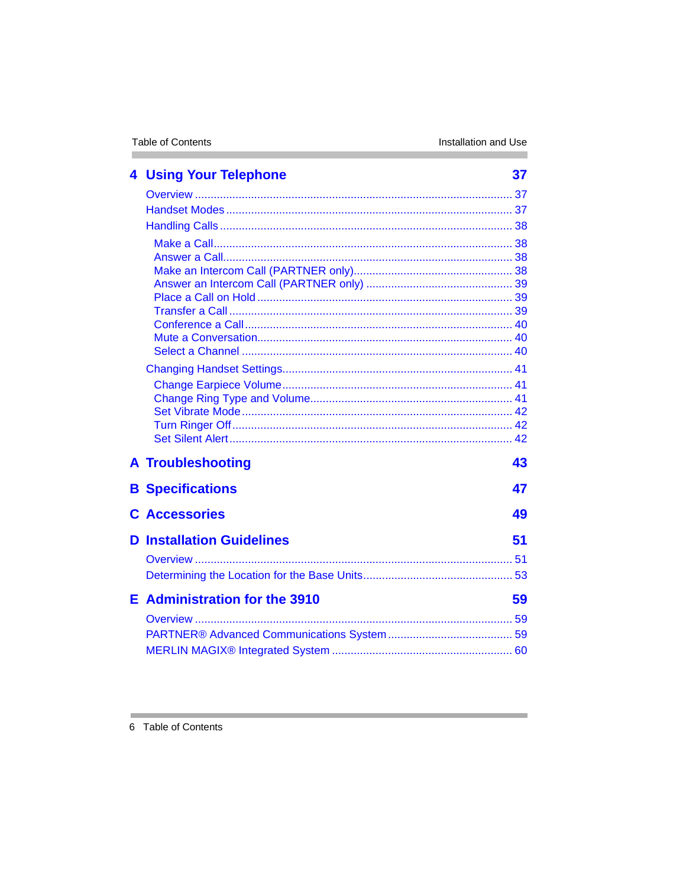п

|    | <b>Using Your Telephone</b>        | 37 |
|----|------------------------------------|----|
|    |                                    | 37 |
|    |                                    |    |
|    |                                    |    |
|    |                                    |    |
|    |                                    |    |
|    |                                    |    |
|    |                                    |    |
|    |                                    |    |
|    |                                    |    |
|    |                                    |    |
|    |                                    |    |
|    |                                    |    |
|    |                                    |    |
|    |                                    |    |
|    |                                    |    |
|    |                                    |    |
|    |                                    |    |
|    | <b>A Troubleshooting</b>           | 43 |
| В  | <b>Specifications</b>              | 47 |
| C  | <b>Accessories</b>                 | 49 |
| D  | <b>Installation Guidelines</b>     | 51 |
|    |                                    |    |
|    |                                    |    |
| Е. | <b>Administration for the 3910</b> | 59 |
|    |                                    |    |
|    |                                    |    |
|    |                                    |    |

and the control of the control of the control of the control of the control of the control of the control of the

Ė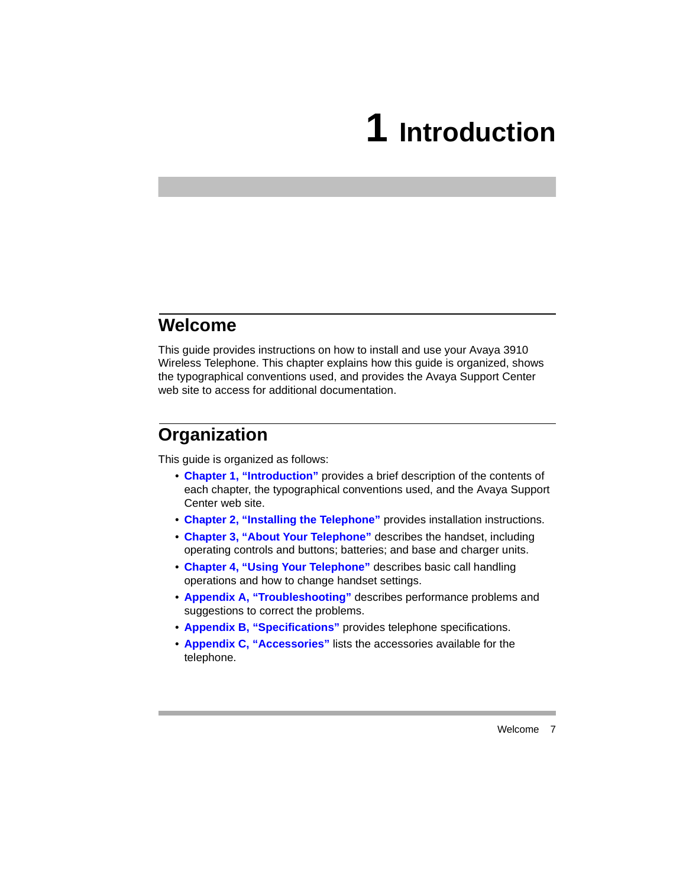# **1 Introduction**

# <span id="page-6-1"></span><span id="page-6-0"></span>**Welcome**

This guide provides instructions on how to install and use your Avaya 3910 Wireless Telephone. This chapter explains how this guide is organized, shows the typographical conventions used, and provides the Avaya Support Center web site to access for additional documentation.

## <span id="page-6-2"></span>**Organization**

This guide is organized as follows:

- **[Chapter 1, "Introduction"](#page-6-0)** provides a brief description of the contents of each chapter, the typographical conventions used, and the Avaya Support Center web site.
- **[Chapter 2, "Installing the Telephone"](#page-8-2)** provides installation instructions.
- **[Chapter 3, "About Your Telephone"](#page-28-2)** describes the handset, including operating controls and buttons; batteries; and base and charger units.
- **[Chapter 4, "Using Your Telephone"](#page-36-3)** describes basic call handling operations and how to change handset settings.
- **[Appendix A, "Troubleshooting"](#page-42-1)** describes performance problems and suggestions to correct the problems.
- **[Appendix B, "Specifications"](#page-46-1)** provides telephone specifications.
- **[Appendix C, "Accessories"](#page-48-1)** lists the accessories available for the telephone.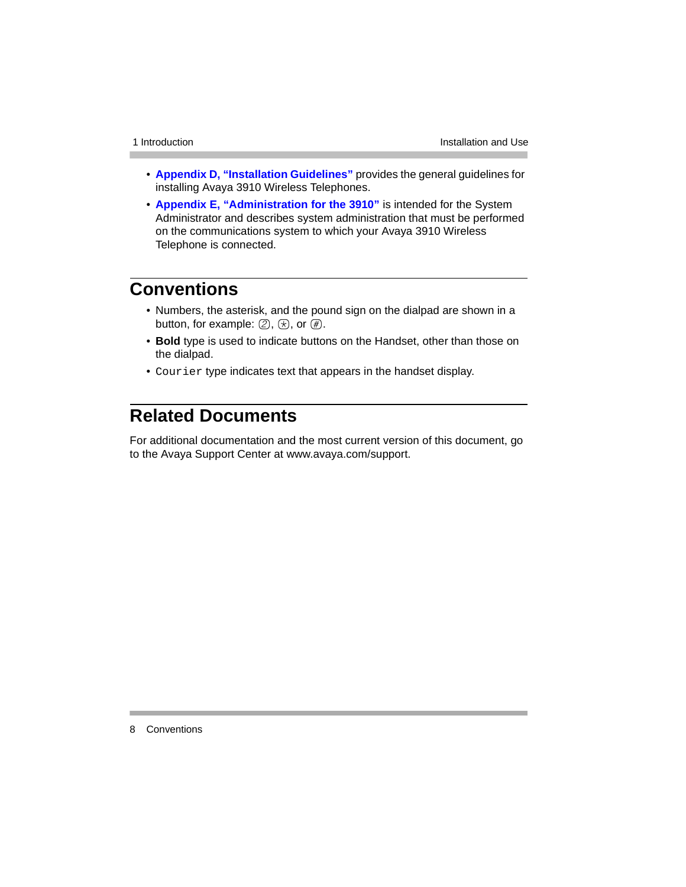- **[Appendix D, "Installation Guidelines"](#page-50-2)** provides the general guidelines for installing Avaya 3910 Wireless Telephones.
- **[Appendix E, "Administration for the 3910"](#page-58-3)** is intended for the System Administrator and describes system administration that must be performed on the communications system to which your Avaya 3910 Wireless Telephone is connected.

# <span id="page-7-0"></span>**Conventions**

- Numbers, the asterisk, and the pound sign on the dialpad are shown in a button, for example:  $(2)$ ,  $(\overline{\star})$ , or  $(\overline{\#})$ .
- **Bold** type is used to indicate buttons on the Handset, other than those on the dialpad.
- Courier type indicates text that appears in the handset display.

# <span id="page-7-1"></span>**Related Documents**

For additional documentation and the most current version of this document, go to the Avaya Support Center at www.avaya.com/support.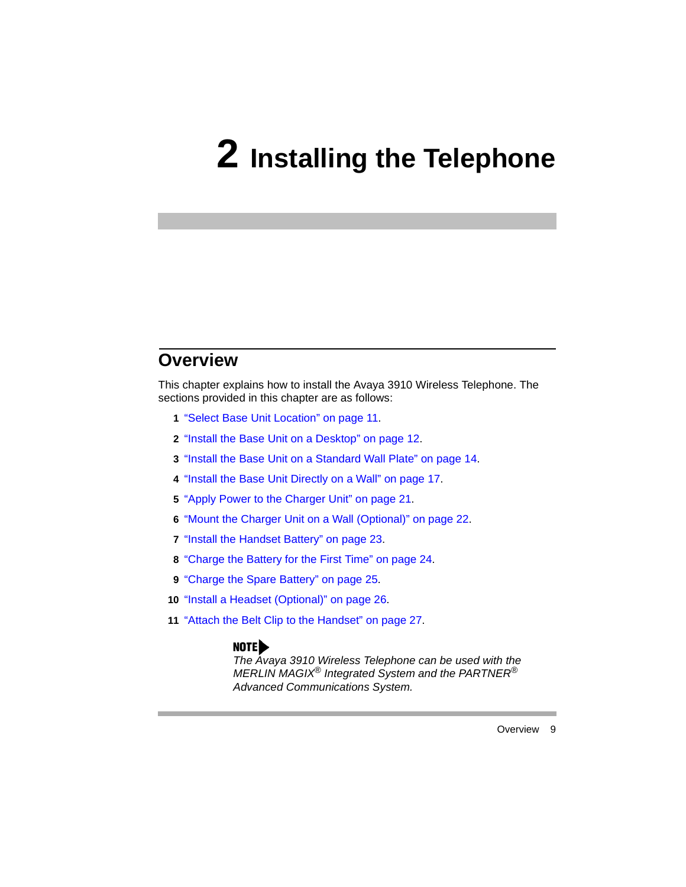# <span id="page-8-2"></span><span id="page-8-0"></span>**2 Installing the Telephone**

# <span id="page-8-1"></span>**Overview**

This chapter explains how to install the Avaya 3910 Wireless Telephone. The sections provided in this chapter are as follows:

- **1** ["Select Base Unit Location" on page 11.](#page-10-0)
- **2** ["Install the Base Unit on a Desktop" on page 12](#page-11-0).
- **3** ["Install the Base Unit on a Standard Wall Plate" on page 14.](#page-13-0)
- **4** ["Install the Base Unit Directly on a Wall" on page 17.](#page-16-0)
- **5** ["Apply Power to the Charger Unit" on page 21](#page-20-0).
- **6** ["Mount the Charger Unit on a Wall \(Optional\)" on page 22.](#page-21-0)
- **7** ["Install the Handset Battery" on page 23](#page-22-0).
- **8** ["Charge the Battery for the First Time" on page 24.](#page-23-0)
- **9** ["Charge the Spare Battery" on page 25](#page-24-0).
- **10** ["Install a Headset \(Optional\)" on page 26.](#page-25-0)
- **11** ["Attach the Belt Clip to the Handset" on page 27.](#page-26-0)

#### **NOTE**

The Avaya 3910 Wireless Telephone can be used with the MERLIN MAGIX<sup>®</sup> Integrated System and the PARTNER<sup>®</sup> Advanced Communications System.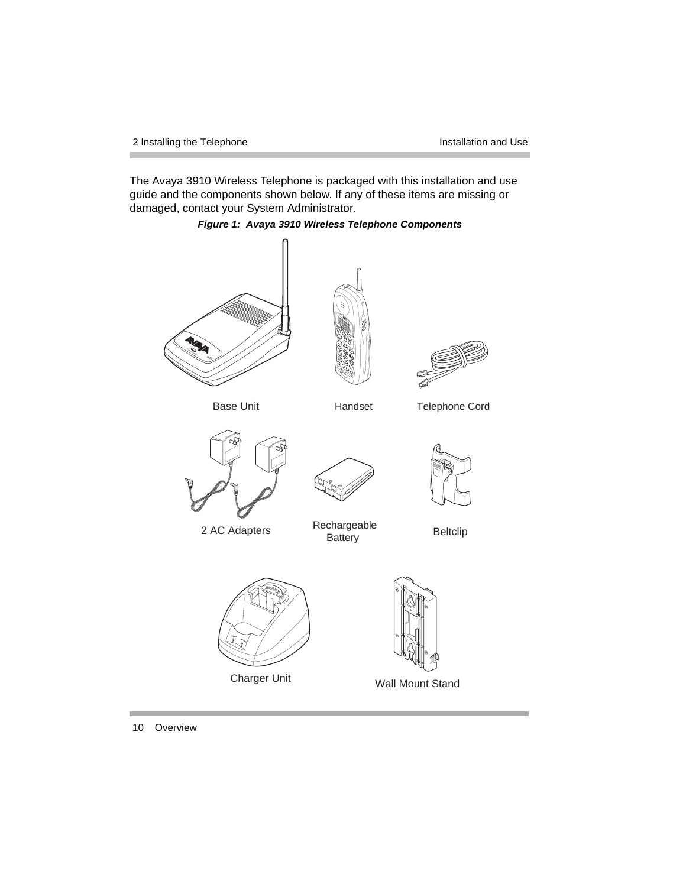The Avaya 3910 Wireless Telephone is packaged with this installation and use guide and the components shown below. If any of these items are missing or damaged, contact your System Administrator.

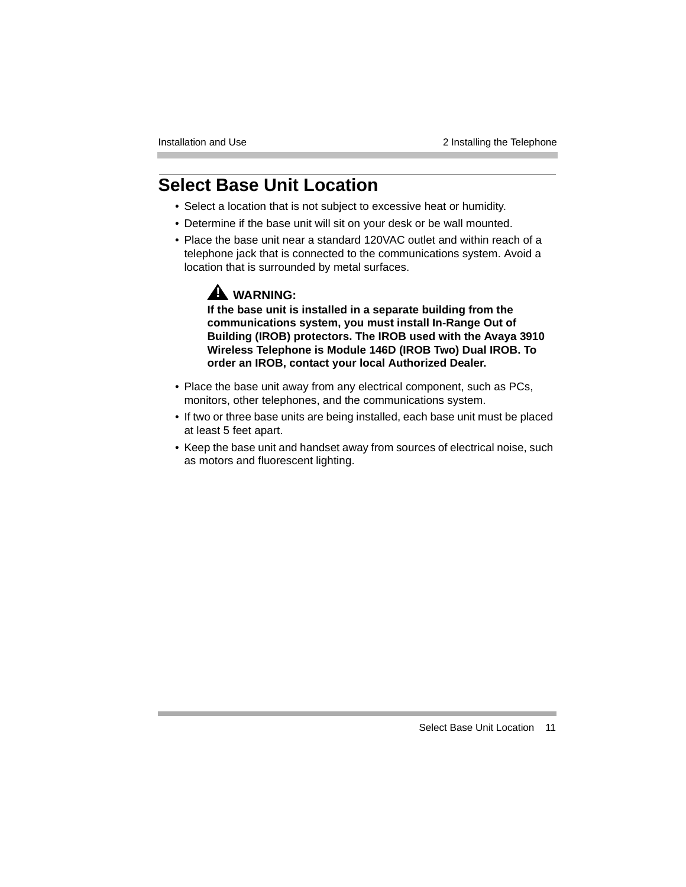# <span id="page-10-0"></span>**Select Base Unit Location**

- Select a location that is not subject to excessive heat or humidity.
- Determine if the base unit will sit on your desk or be wall mounted.
- Place the base unit near a standard 120VAC outlet and within reach of a telephone jack that is connected to the communications system. Avoid a location that is surrounded by metal surfaces.

# ! **WARNING: !**

**If the base unit is installed in a separate building from the communications system, you must install In-Range Out of Building (IROB) protectors. The IROB used with the Avaya 3910 Wireless Telephone is Module 146D (IROB Two) Dual IROB. To order an IROB, contact your local Authorized Dealer.**

- Place the base unit away from any electrical component, such as PCs, monitors, other telephones, and the communications system.
- If two or three base units are being installed, each base unit must be placed at least 5 feet apart.
- Keep the base unit and handset away from sources of electrical noise, such as motors and fluorescent lighting.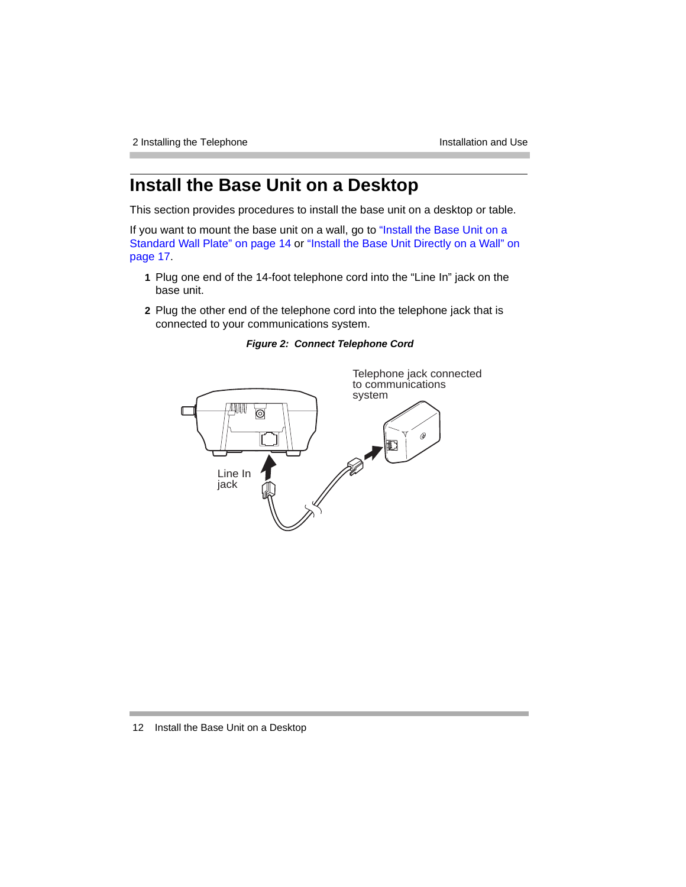# <span id="page-11-0"></span>**Install the Base Unit on a Desktop**

This section provides procedures to install the base unit on a desktop or table.

If you want to mount the base unit on a wall, go to ["Install the Base Unit on a](#page-13-0)  [Standard Wall Plate" on page 14](#page-13-0) or ["Install the Base Unit Directly on a Wall" on](#page-16-0)  [page 17](#page-16-0).

- **1** Plug one end of the 14-foot telephone cord into the "Line In" jack on the base unit.
- **2** Plug the other end of the telephone cord into the telephone jack that is connected to your communications system.



#### **Figure 2: Connect Telephone Cord**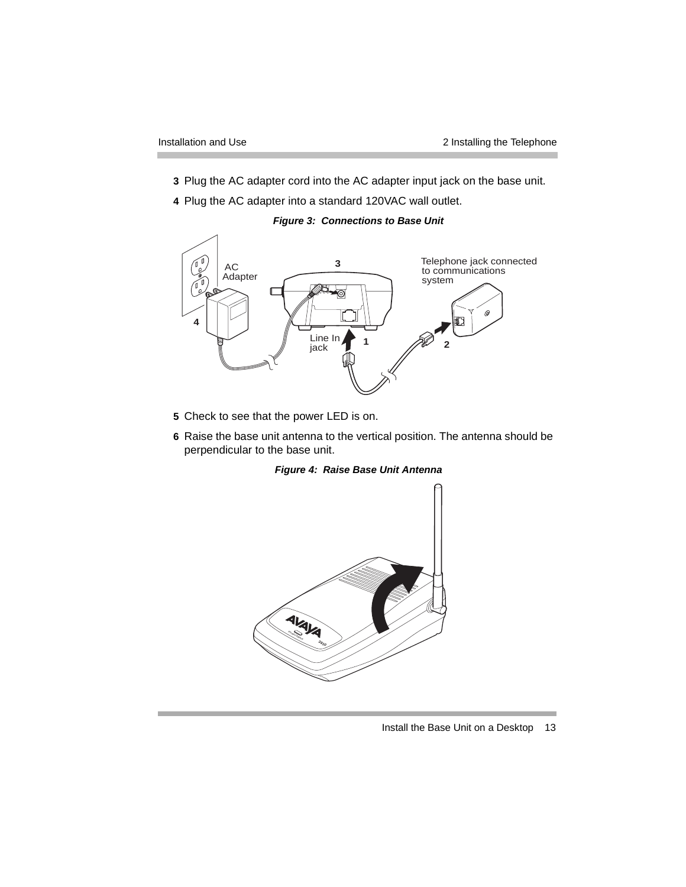- **3** Plug the AC adapter cord into the AC adapter input jack on the base unit.
- **4** Plug the AC adapter into a standard 120VAC wall outlet.





- **5** Check to see that the power LED is on.
- **6** Raise the base unit antenna to the vertical position. The antenna should be perpendicular to the base unit.

 **Figure 4: Raise Base Unit Antenna**

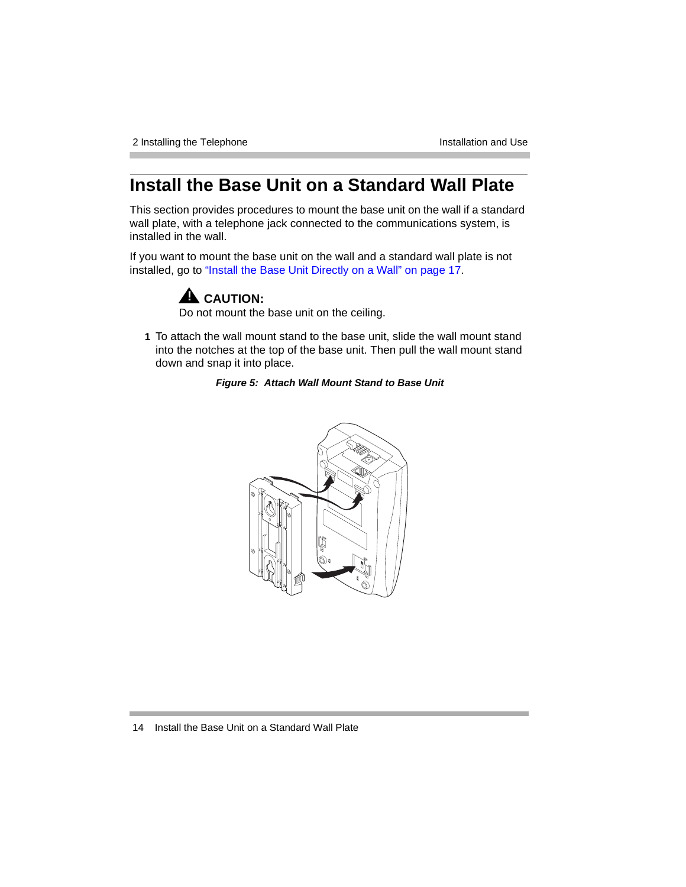# <span id="page-13-0"></span>**Install the Base Unit on a Standard Wall Plate**

This section provides procedures to mount the base unit on the wall if a standard wall plate, with a telephone jack connected to the communications system, is installed in the wall.

If you want to mount the base unit on the wall and a standard wall plate is not installed, go to ["Install the Base Unit Directly on a Wall" on page 17.](#page-16-0)

### **! CAUTION:**

Do not mount the base unit on the ceiling.

**1** To attach the wall mount stand to the base unit, slide the wall mount stand into the notches at the top of the base unit. Then pull the wall mount stand down and snap it into place.

#### **Figure 5: Attach Wall Mount Stand to Base Unit**

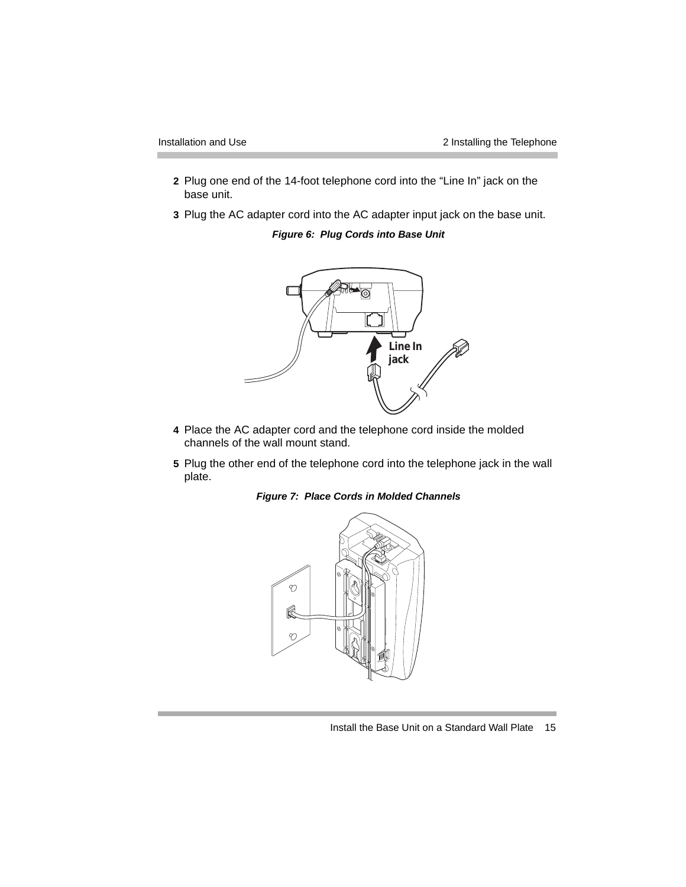- **2** Plug one end of the 14-foot telephone cord into the "Line In" jack on the base unit.
- **3** Plug the AC adapter cord into the AC adapter input jack on the base unit.

 **Figure 6: Plug Cords into Base Unit** 



- **4** Place the AC adapter cord and the telephone cord inside the molded channels of the wall mount stand.
- **5** Plug the other end of the telephone cord into the telephone jack in the wall plate.



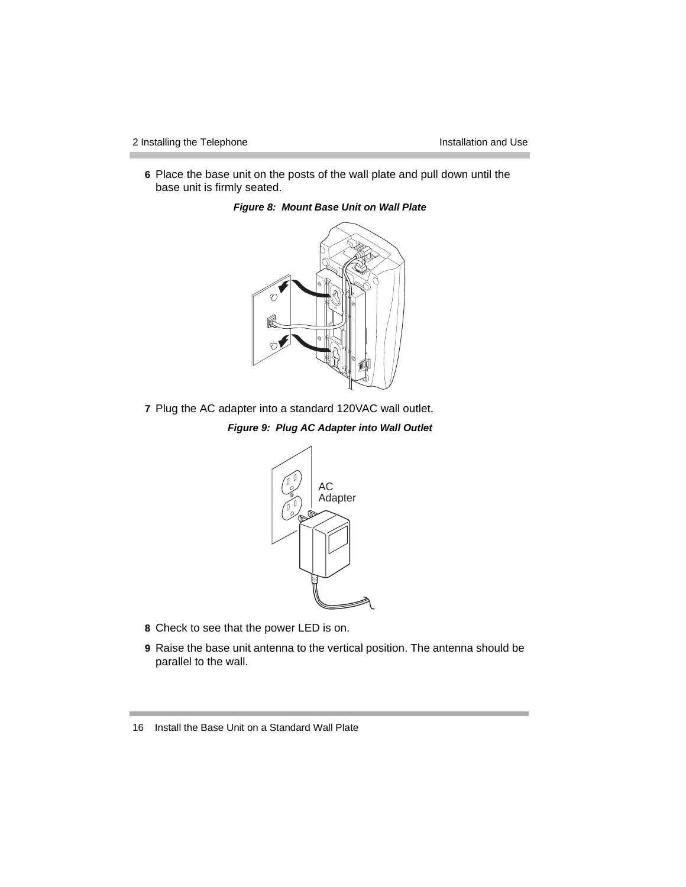**6** Place the base unit on the posts of the wall plate and pull down until the base unit is firmly seated.



 **Figure 8: Mount Base Unit on Wall Plate**

**7** Plug the AC adapter into a standard 120VAC wall outlet.

 **Figure 9: Plug AC Adapter into Wall Outlet**



- **8** Check to see that the power LED is on.
- **9** Raise the base unit antenna to the vertical position. The antenna should be parallel to the wall.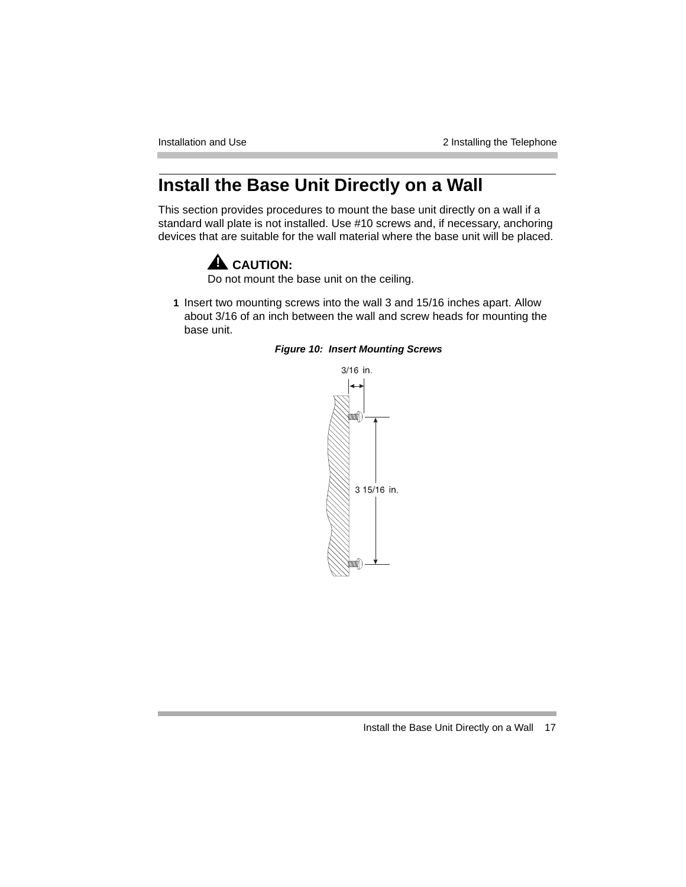# <span id="page-16-0"></span>**Install the Base Unit Directly on a Wall**

This section provides procedures to mount the base unit directly on a wall if a standard wall plate is not installed. Use #10 screws and, if necessary, anchoring devices that are suitable for the wall material where the base unit will be placed.



Do not mount the base unit on the ceiling.

**1** Insert two mounting screws into the wall 3 and 15/16 inches apart. Allow about 3/16 of an inch between the wall and screw heads for mounting the base unit.

# $3/16$  in. 3 15/16 in.

#### **Figure 10: Insert Mounting Screws**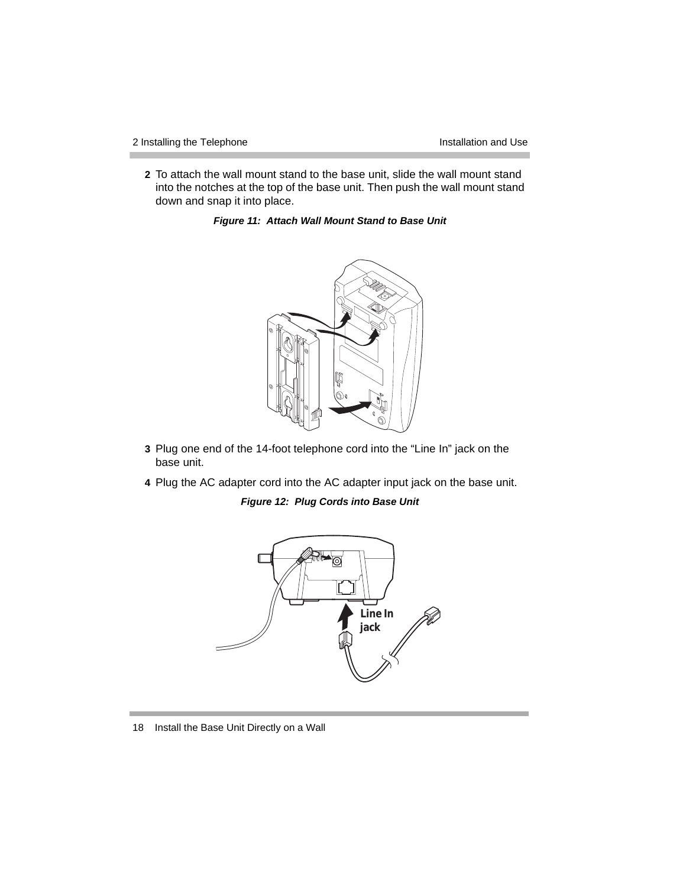**2** To attach the wall mount stand to the base unit, slide the wall mount stand into the notches at the top of the base unit. Then push the wall mount stand down and snap it into place.

 **Figure 11: Attach Wall Mount Stand to Base Unit**



- **3** Plug one end of the 14-foot telephone cord into the "Line In" jack on the base unit.
- **4** Plug the AC adapter cord into the AC adapter input jack on the base unit.

 **Figure 12: Plug Cords into Base Unit**

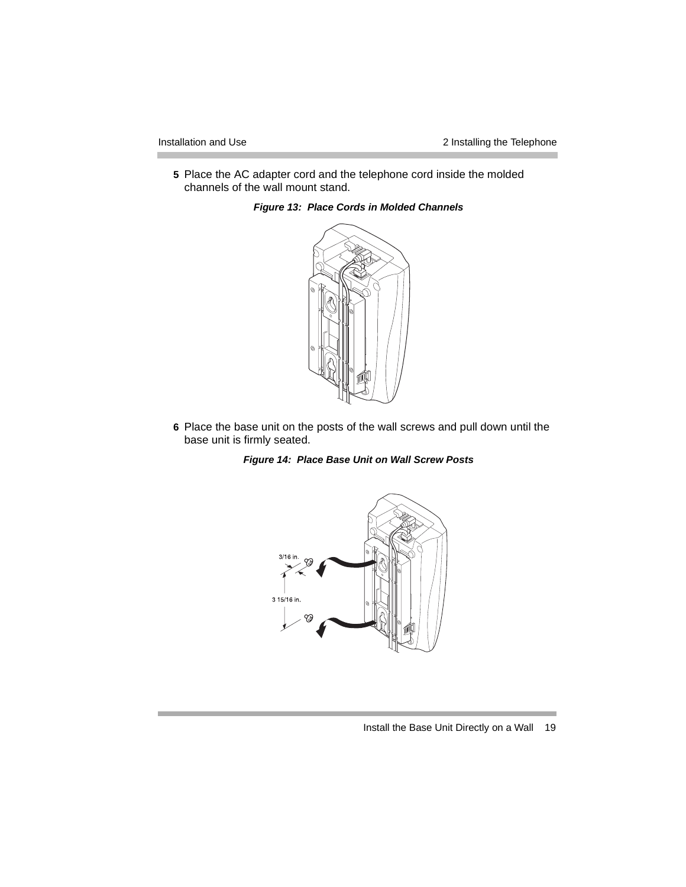**5** Place the AC adapter cord and the telephone cord inside the molded channels of the wall mount stand.



 **Figure 13: Place Cords in Molded Channels** 

**6** Place the base unit on the posts of the wall screws and pull down until the base unit is firmly seated.



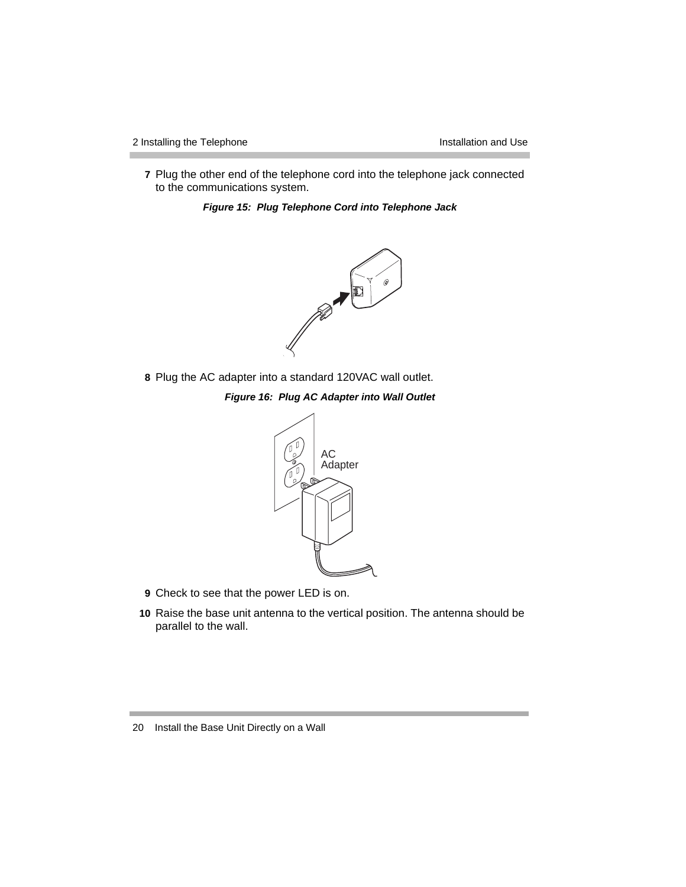**7** Plug the other end of the telephone cord into the telephone jack connected to the communications system.

 **Figure 15: Plug Telephone Cord into Telephone Jack**



**8** Plug the AC adapter into a standard 120VAC wall outlet.

#### **Figure 16: Plug AC Adapter into Wall Outlet**



- **9** Check to see that the power LED is on.
- **10** Raise the base unit antenna to the vertical position. The antenna should be parallel to the wall.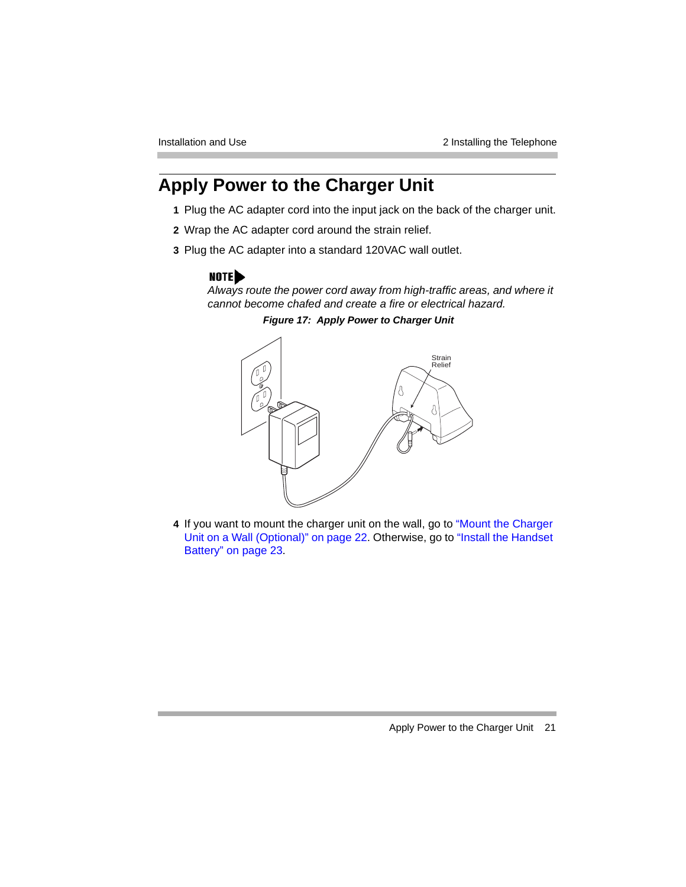# <span id="page-20-0"></span>**Apply Power to the Charger Unit**

- **1** Plug the AC adapter cord into the input jack on the back of the charger unit.
- **2** Wrap the AC adapter cord around the strain relief.
- **3** Plug the AC adapter into a standard 120VAC wall outlet.

#### **NOTE**

Always route the power cord away from high-traffic areas, and where it cannot become chafed and create a fire or electrical hazard.

 **Figure 17: Apply Power to Charger Unit**



**4** If you want to mount the charger unit on the wall, go to ["Mount the Charger](#page-21-0)  [Unit on a Wall \(Optional\)" on page 22.](#page-21-0) Otherwise, go to ["Install the Handset](#page-22-0)  [Battery" on page 23](#page-22-0).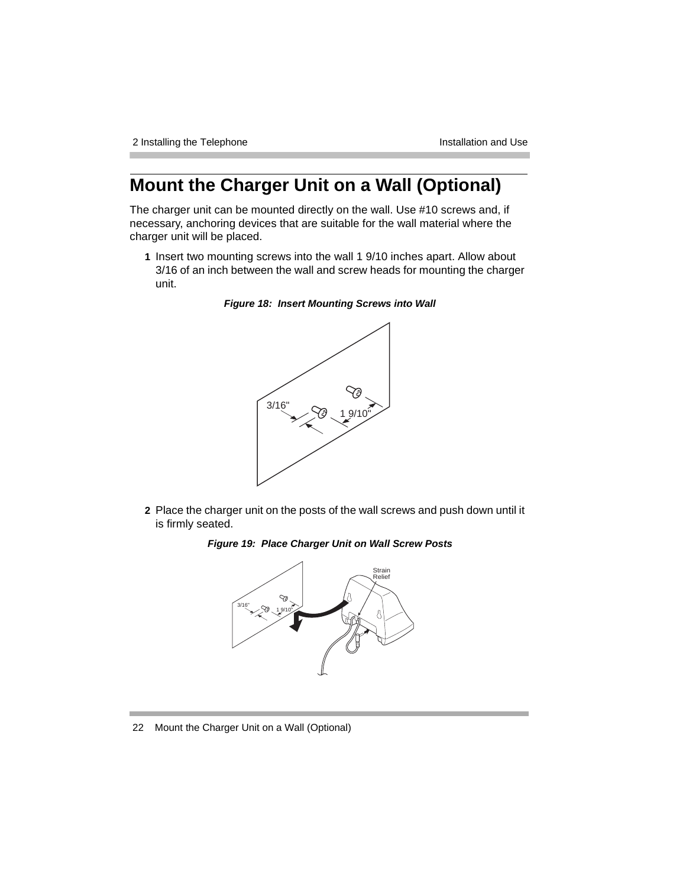# <span id="page-21-0"></span>**Mount the Charger Unit on a Wall (Optional)**

The charger unit can be mounted directly on the wall. Use #10 screws and, if necessary, anchoring devices that are suitable for the wall material where the charger unit will be placed.

**1** Insert two mounting screws into the wall 1 9/10 inches apart. Allow about 3/16 of an inch between the wall and screw heads for mounting the charger unit.



 **Figure 18: Insert Mounting Screws into Wall**

**2** Place the charger unit on the posts of the wall screws and push down until it is firmly seated.



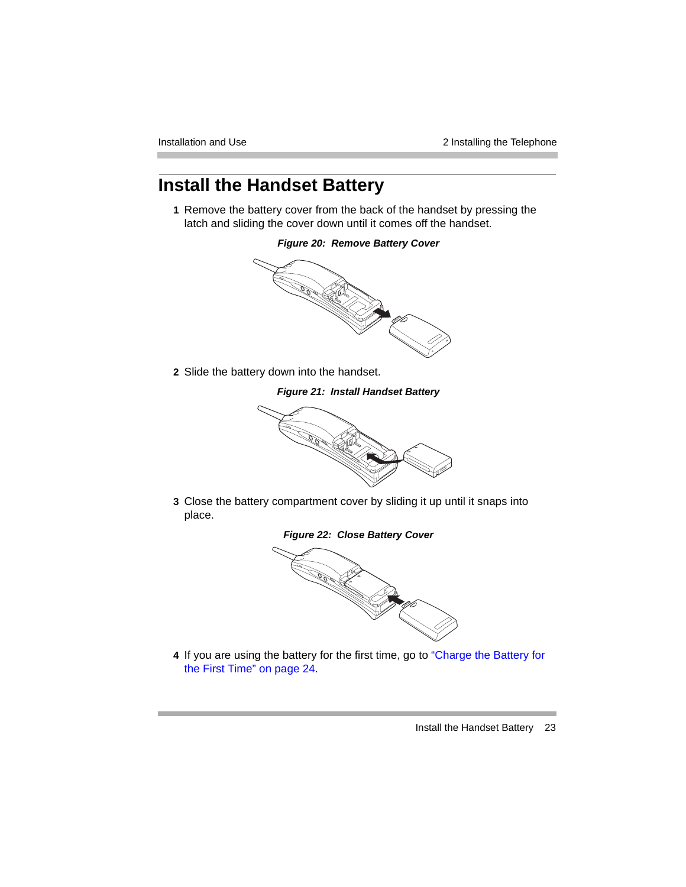# <span id="page-22-0"></span>**Install the Handset Battery**

**1** Remove the battery cover from the back of the handset by pressing the latch and sliding the cover down until it comes off the handset.

 **Figure 20: Remove Battery Cover**



**2** Slide the battery down into the handset.

#### **Figure 21: Install Handset Battery**



**3** Close the battery compartment cover by sliding it up until it snaps into place.





**4** If you are using the battery for the first time, go to ["Charge the Battery for](#page-23-0)  [the First Time" on page 24](#page-23-0).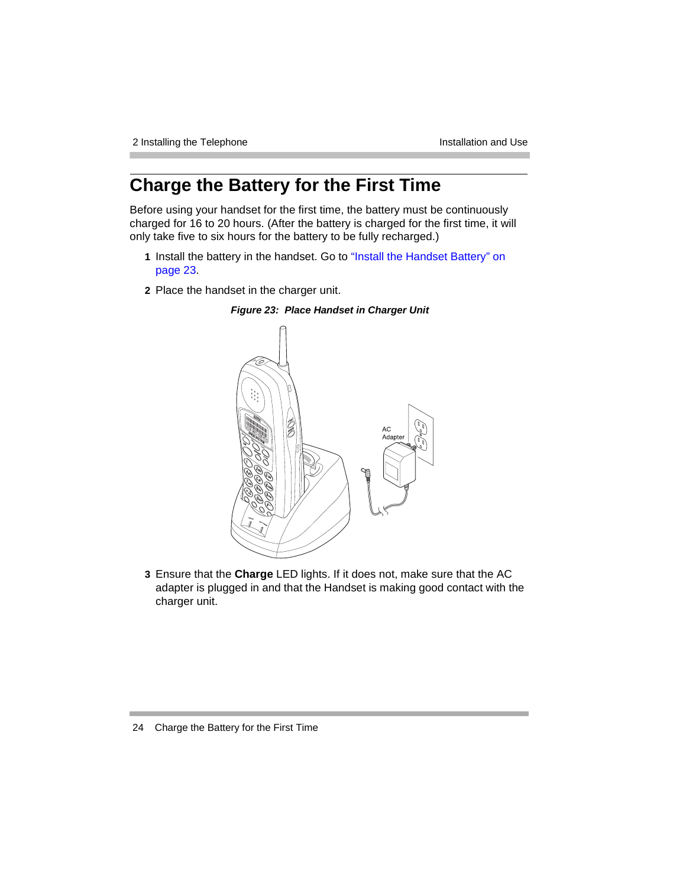# <span id="page-23-0"></span>**Charge the Battery for the First Time**

Before using your handset for the first time, the battery must be continuously charged for 16 to 20 hours. (After the battery is charged for the first time, it will only take five to six hours for the battery to be fully recharged.)

- **1** Install the battery in the handset. Go to ["Install the Handset Battery" on](#page-22-0)  [page 23](#page-22-0).
- **2** Place the handset in the charger unit.

#### **Figure 23: Place Handset in Charger Unit**



**3** Ensure that the **Charge** LED lights. If it does not, make sure that the AC adapter is plugged in and that the Handset is making good contact with the charger unit.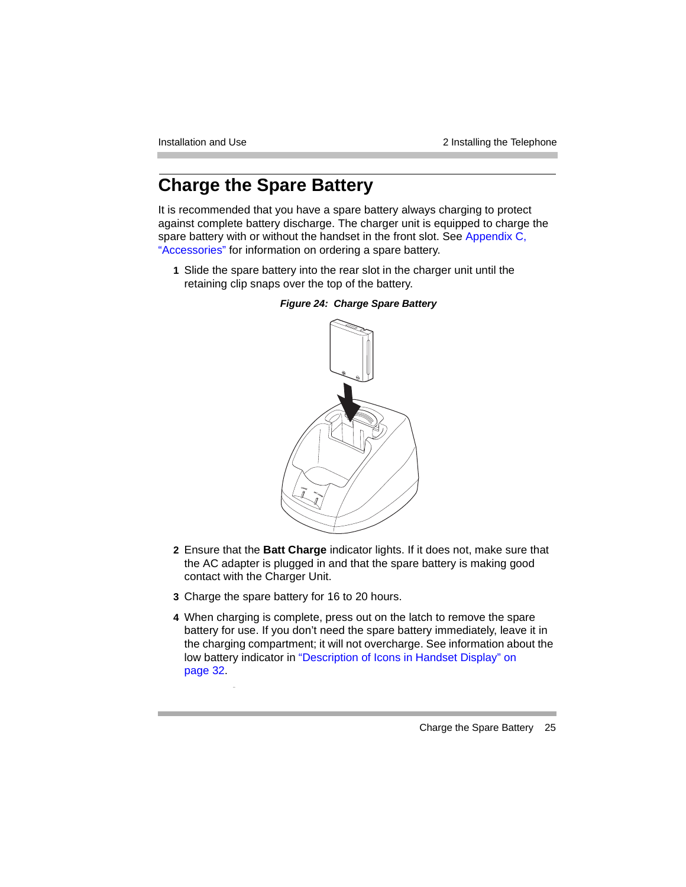# <span id="page-24-1"></span><span id="page-24-0"></span>**Charge the Spare Battery**

It is recommended that you have a spare battery always charging to protect against complete battery discharge. The charger unit is equipped to charge the spare battery with or without the handset in the front slot. See [Appendix C,](#page-48-1)  ["Accessories"](#page-48-1) for information on ordering a spare battery.

**1** Slide the spare battery into the rear slot in the charger unit until the retaining clip snaps over the top of the battery.



#### **Figure 24: Charge Spare Battery**

- **2** Ensure that the **Batt Charge** indicator lights. If it does not, make sure that the AC adapter is plugged in and that the spare battery is making good contact with the Charger Unit.
- **3** Charge the spare battery for 16 to 20 hours.
- **4** When charging is complete, press out on the latch to remove the spare battery for use. If you don't need the spare battery immediately, leave it in the charging compartment; it will not overcharge. See information about the low battery indicator in ["Description of Icons in Handset Display" on](#page-31-0)  [page 32.](#page-31-0)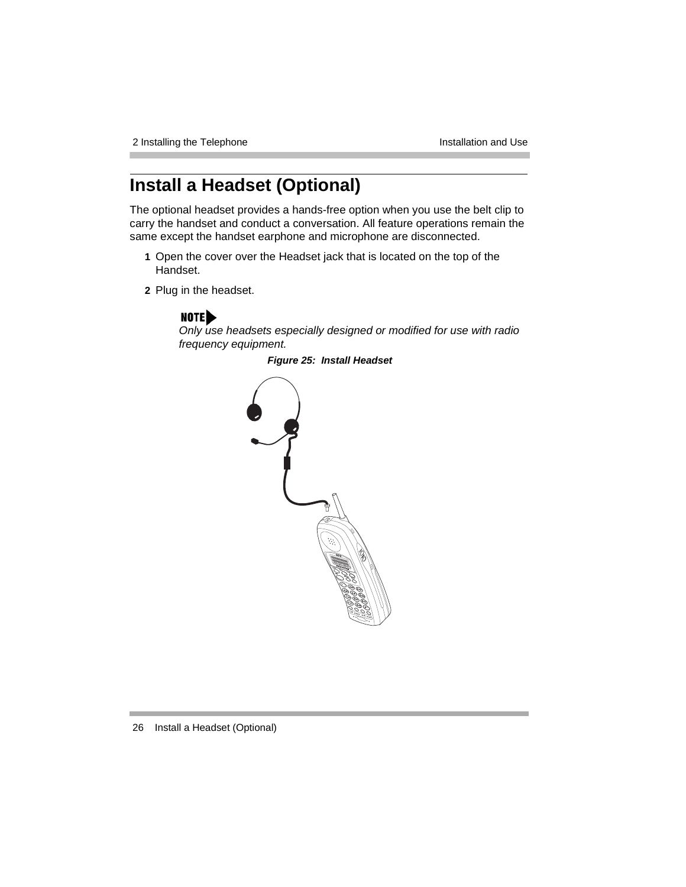# <span id="page-25-0"></span>**Install a Headset (Optional)**

The optional headset provides a hands-free option when you use the belt clip to carry the handset and conduct a conversation. All feature operations remain the same except the handset earphone and microphone are disconnected.

- **1** Open the cover over the Headset jack that is located on the top of the Handset.
- **2** Plug in the headset.

### **NOTE**

Only use headsets especially designed or modified for use with radio frequency equipment.

#### **Figure 25: Install Headset**

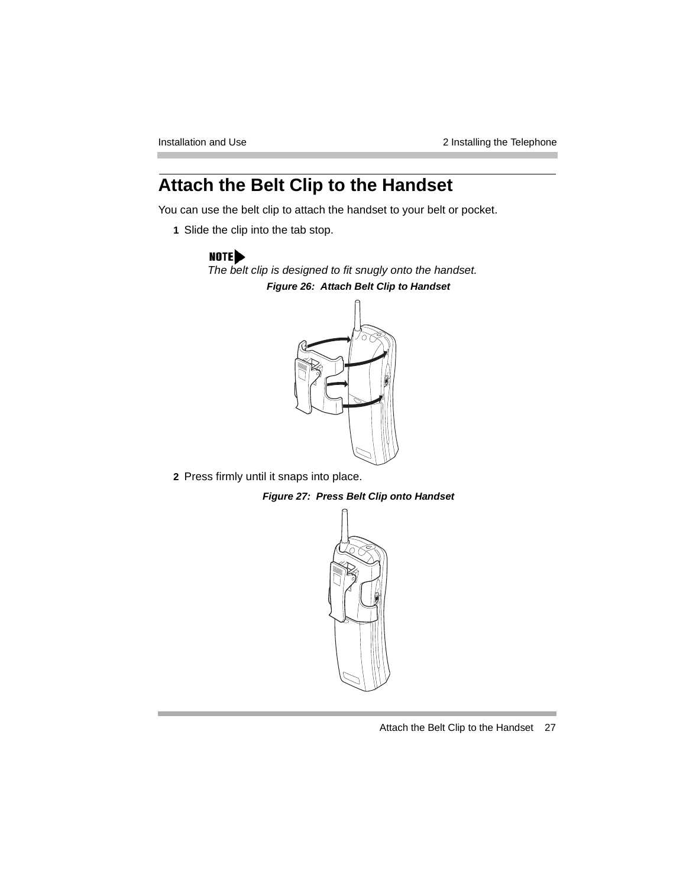# <span id="page-26-0"></span>**Attach the Belt Clip to the Handset**

You can use the belt clip to attach the handset to your belt or pocket.

**1** Slide the clip into the tab stop.



 **Figure 26: Attach Belt Clip to Handset**



**2** Press firmly until it snaps into place.

 **Figure 27: Press Belt Clip onto Handset**

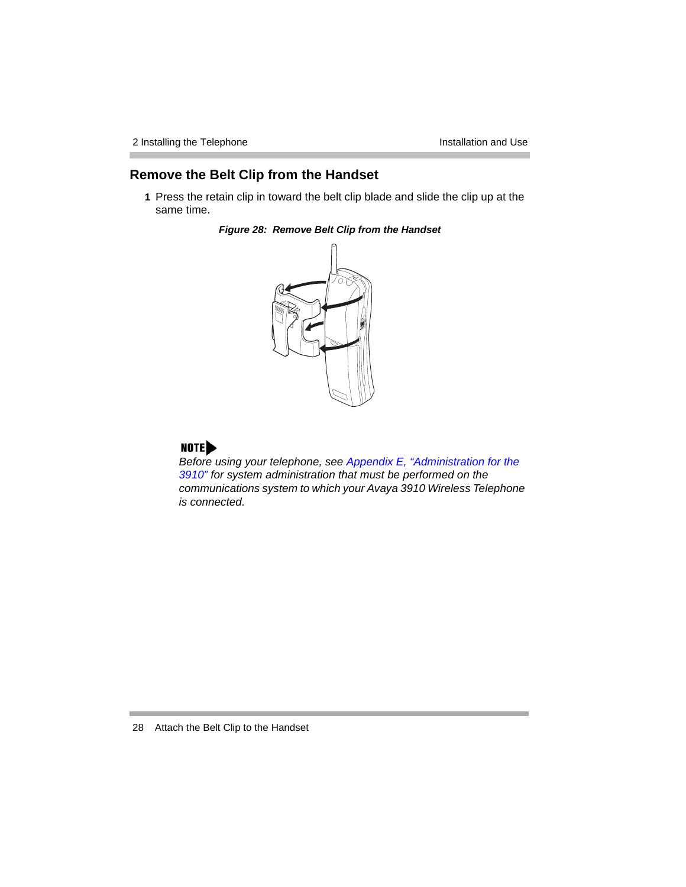#### <span id="page-27-0"></span>**Remove the Belt Clip from the Handset**

**1** Press the retain clip in toward the belt clip blade and slide the clip up at the same time.

 **Figure 28: Remove Belt Clip from the Handset**





Before using your telephone, see [Appendix E, "Administration for the](#page-58-3)  [3910"](#page-58-3) for system administration that must be performed on the communications system to which your Avaya 3910 Wireless Telephone is connected.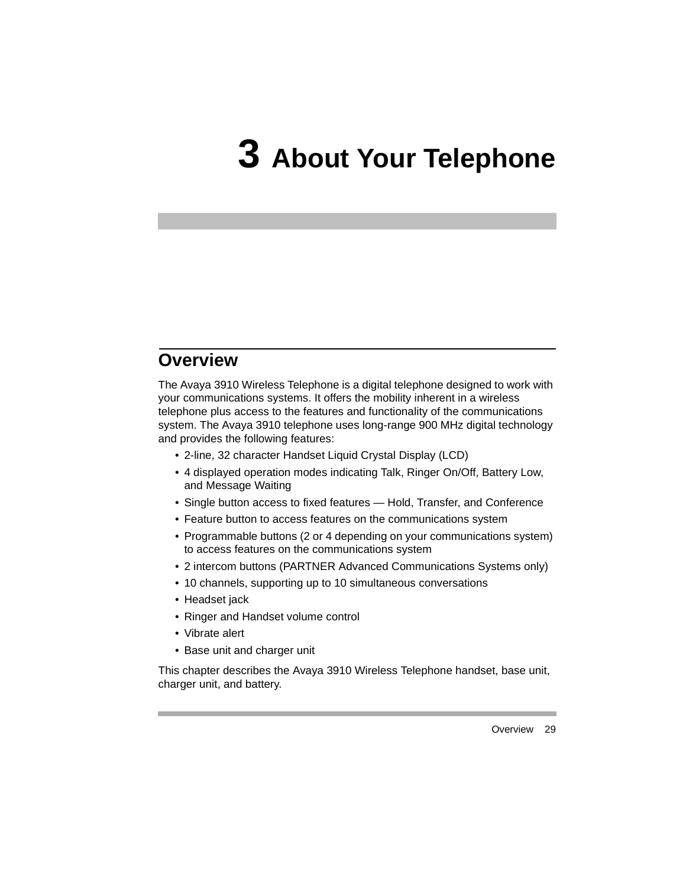# <span id="page-28-2"></span><span id="page-28-0"></span>**3 About Your Telephone**

# <span id="page-28-1"></span>**Overview**

The Avaya 3910 Wireless Telephone is a digital telephone designed to work with your communications systems. It offers the mobility inherent in a wireless telephone plus access to the features and functionality of the communications system. The Avaya 3910 telephone uses long-range 900 MHz digital technology and provides the following features:

- 2-line, 32 character Handset Liquid Crystal Display (LCD)
- 4 displayed operation modes indicating Talk, Ringer On/Off, Battery Low, and Message Waiting
- Single button access to fixed features Hold, Transfer, and Conference
- Feature button to access features on the communications system
- Programmable buttons (2 or 4 depending on your communications system) to access features on the communications system
- 2 intercom buttons (PARTNER Advanced Communications Systems only)
- 10 channels, supporting up to 10 simultaneous conversations
- Headset jack
- Ringer and Handset volume control
- Vibrate alert
- Base unit and charger unit

This chapter describes the Avaya 3910 Wireless Telephone handset, base unit, charger unit, and battery.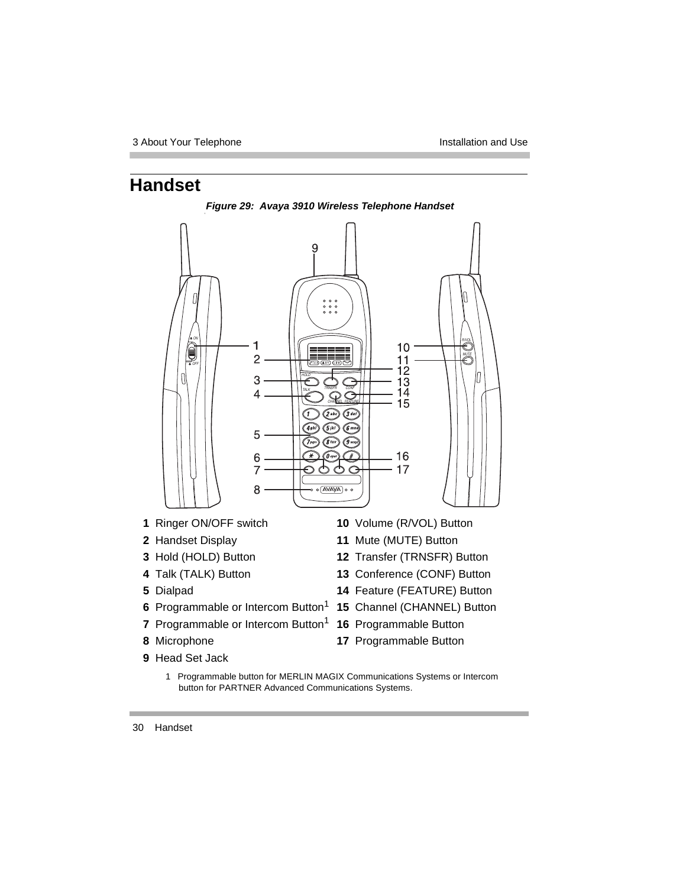### <span id="page-29-0"></span>**Handset**

<span id="page-29-1"></span>

 **Figure 29: Avaya 3910 Wireless Telephone Handset**

- 
- 
- 
- 
- **6** Programmable or Intercom Button<sup>1</sup> 15 Channel (CHANNEL) Button
- **7** Programmable or Intercom Button<sup>1</sup> **16** Programmable Button
- 
- **2** Handset Display **11** Mute (MUTE) Button
- **3** Hold (HOLD) Button **12** Transfer (TRNSFR) Button
- **4** Talk (TALK) Button **13** Conference (CONF) Button
- **5** Dialpad **14** Feature (FEATURE) Button
	-
	-
- **8** Microphone **17** Programmable Button
- **9** Head Set Jack
	- 1 Programmable button for MERLIN MAGIX Communications Systems or Intercom button for PARTNER Advanced Communications Systems.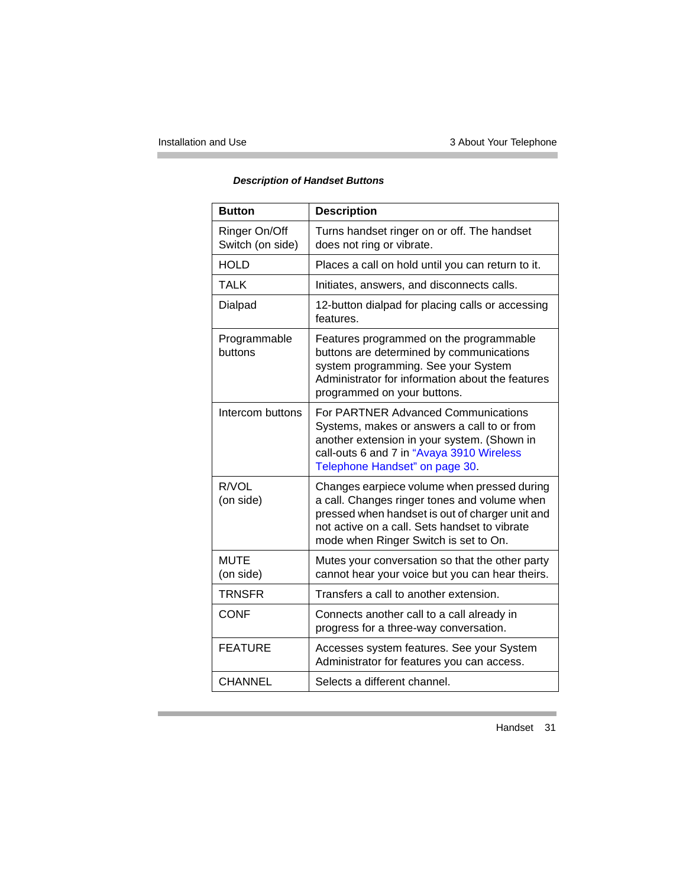п

ш

| <b>Button</b>                     | <b>Description</b>                                                                                                                                                                                                                       |  |  |  |  |
|-----------------------------------|------------------------------------------------------------------------------------------------------------------------------------------------------------------------------------------------------------------------------------------|--|--|--|--|
| Ringer On/Off<br>Switch (on side) | Turns handset ringer on or off. The handset<br>does not ring or vibrate.                                                                                                                                                                 |  |  |  |  |
| <b>HOLD</b>                       | Places a call on hold until you can return to it.                                                                                                                                                                                        |  |  |  |  |
| <b>TALK</b>                       | Initiates, answers, and disconnects calls.                                                                                                                                                                                               |  |  |  |  |
| Dialpad                           | 12-button dialpad for placing calls or accessing<br>features.                                                                                                                                                                            |  |  |  |  |
| Programmable<br>buttons           | Features programmed on the programmable<br>buttons are determined by communications<br>system programming. See your System<br>Administrator for information about the features<br>programmed on your buttons.                            |  |  |  |  |
| Intercom buttons                  | For PARTNER Advanced Communications<br>Systems, makes or answers a call to or from<br>another extension in your system. (Shown in<br>call-outs 6 and 7 in "Avaya 3910 Wireless<br>Telephone Handset" on page 30.                         |  |  |  |  |
| R/VOL<br>(on side)                | Changes earpiece volume when pressed during<br>a call. Changes ringer tones and volume when<br>pressed when handset is out of charger unit and<br>not active on a call. Sets handset to vibrate<br>mode when Ringer Switch is set to On. |  |  |  |  |
| <b>MUTE</b><br>(on side)          | Mutes your conversation so that the other party<br>cannot hear your voice but you can hear theirs.                                                                                                                                       |  |  |  |  |
| <b>TRNSFR</b>                     | Transfers a call to another extension.                                                                                                                                                                                                   |  |  |  |  |
| <b>CONF</b>                       | Connects another call to a call already in<br>progress for a three-way conversation.                                                                                                                                                     |  |  |  |  |
| <b>FEATURE</b>                    | Accesses system features. See your System<br>Administrator for features you can access.                                                                                                                                                  |  |  |  |  |
| <b>CHANNEL</b>                    | Selects a different channel.                                                                                                                                                                                                             |  |  |  |  |

#### **Description of Handset Buttons**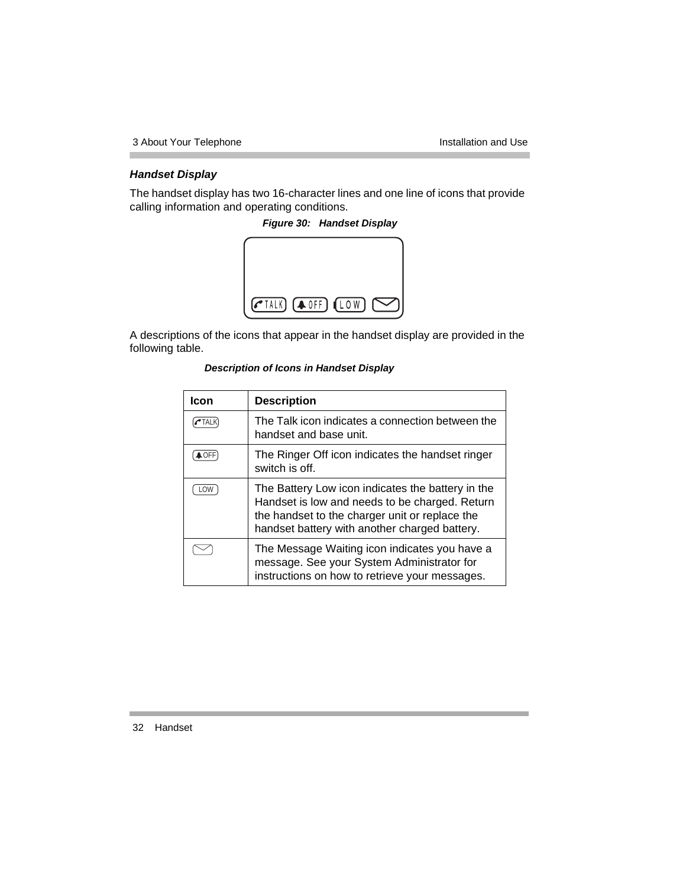#### **Handset Display**

The handset display has two 16-character lines and one line of icons that provide calling information and operating conditions.

 **Figure 30: Handset Display**



A descriptions of the icons that appear in the handset display are provided in the following table.

#### <span id="page-31-0"></span>**Description of Icons in Handset Display**

| <b>Icon</b> | <b>Description</b>                                                                                                                                                                                     |
|-------------|--------------------------------------------------------------------------------------------------------------------------------------------------------------------------------------------------------|
| $\sim$ TALK | The Talk icon indicates a connection between the<br>handset and base unit.                                                                                                                             |
| LOFF        | The Ringer Off icon indicates the handset ringer<br>switch is off.                                                                                                                                     |
| LOW         | The Battery Low icon indicates the battery in the<br>Handset is low and needs to be charged. Return<br>the handset to the charger unit or replace the<br>handset battery with another charged battery. |
|             | The Message Waiting icon indicates you have a<br>message. See your System Administrator for<br>instructions on how to retrieve your messages.                                                          |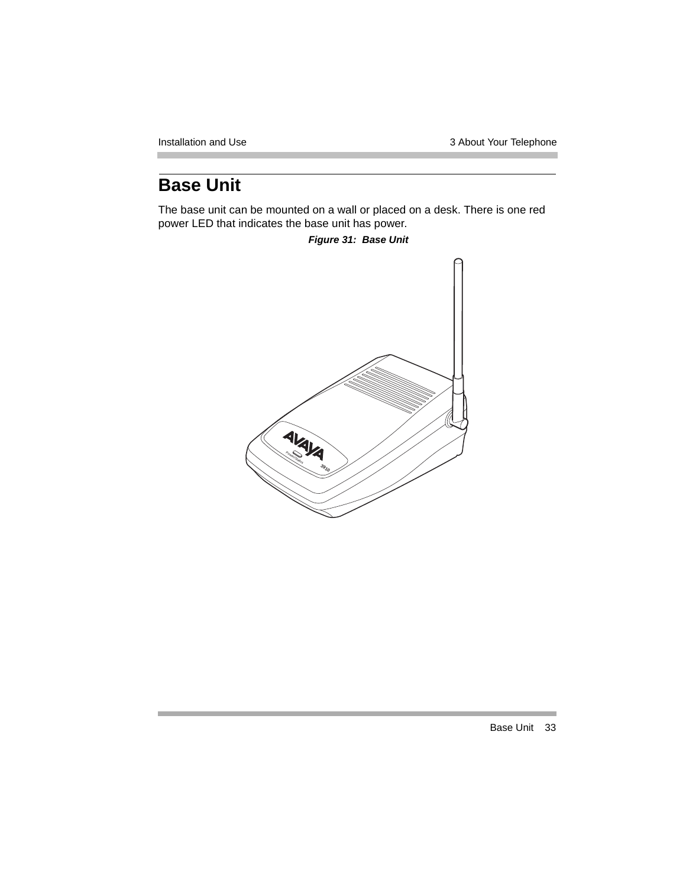# <span id="page-32-0"></span>**Base Unit**

The base unit can be mounted on a wall or placed on a desk. There is one red power LED that indicates the base unit has power.

 **Figure 31: Base Unit**

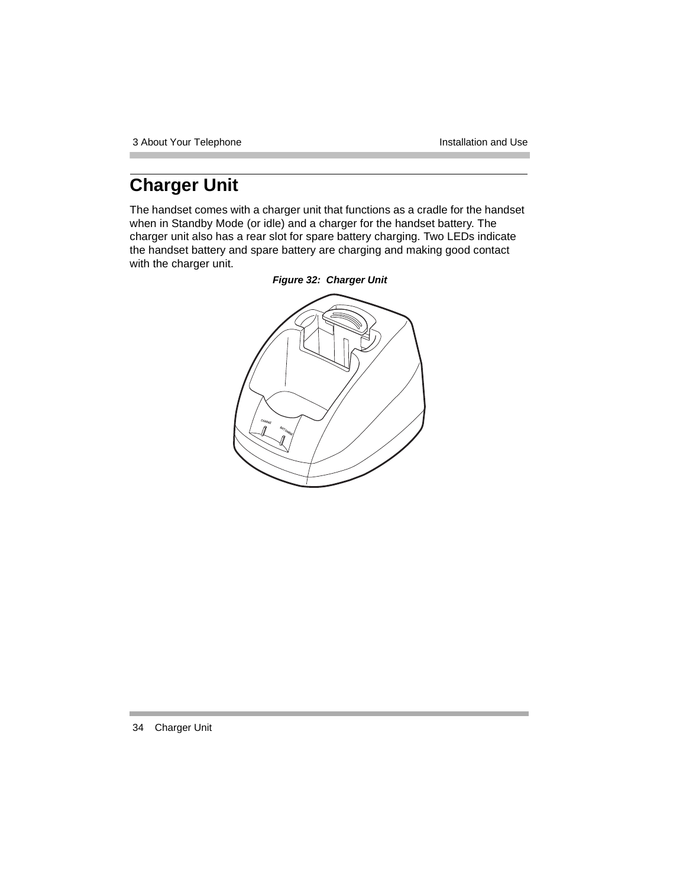# <span id="page-33-0"></span>**Charger Unit**

The handset comes with a charger unit that functions as a cradle for the handset when in Standby Mode (or idle) and a charger for the handset battery. The charger unit also has a rear slot for spare battery charging. Two LEDs indicate the handset battery and spare battery are charging and making good contact with the charger unit.

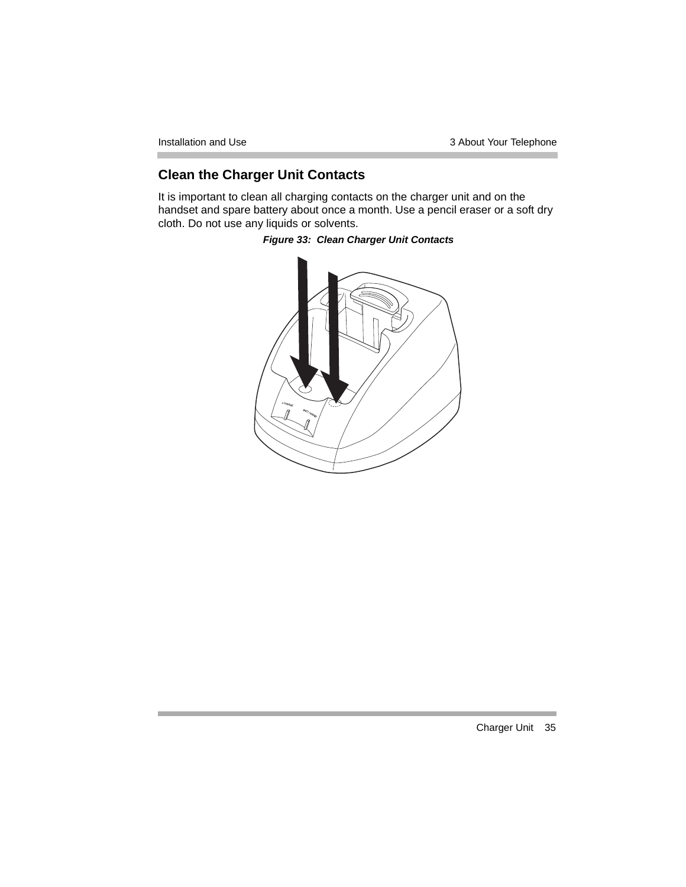#### <span id="page-34-0"></span>**Clean the Charger Unit Contacts**

It is important to clean all charging contacts on the charger unit and on the handset and spare battery about once a month. Use a pencil eraser or a soft dry cloth. Do not use any liquids or solvents.



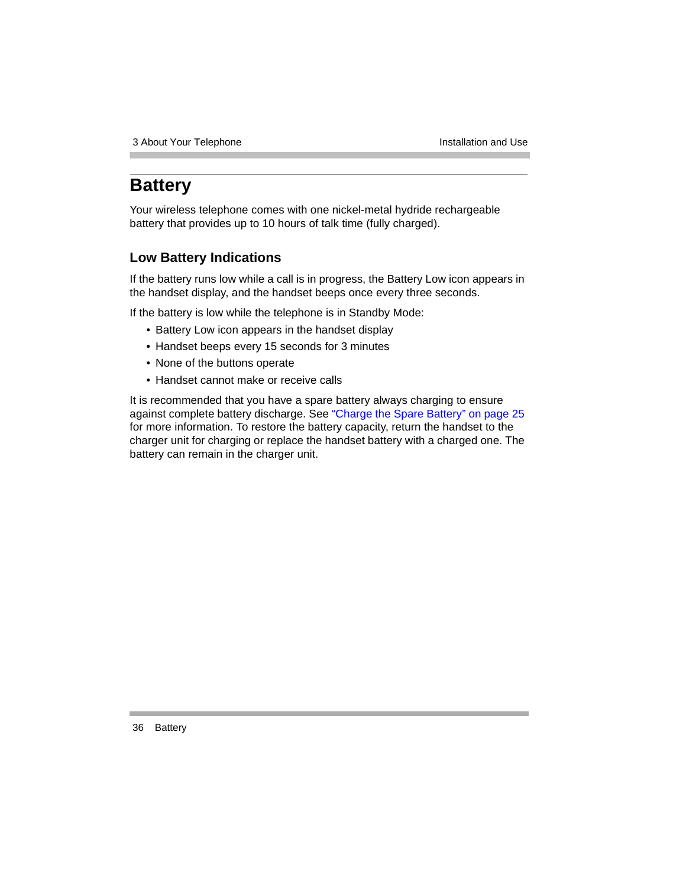# <span id="page-35-0"></span>**Battery**

Your wireless telephone comes with one nickel-metal hydride rechargeable battery that provides up to 10 hours of talk time (fully charged).

#### <span id="page-35-1"></span>**Low Battery Indications**

If the battery runs low while a call is in progress, the Battery Low icon appears in the handset display, and the handset beeps once every three seconds.

If the battery is low while the telephone is in Standby Mode:

- Battery Low icon appears in the handset display
- Handset beeps every 15 seconds for 3 minutes
- None of the buttons operate
- Handset cannot make or receive calls

It is recommended that you have a spare battery always charging to ensure against complete battery discharge. See ["Charge the Spare Battery" on page 25](#page-24-1) for more information. To restore the battery capacity, return the handset to the charger unit for charging or replace the handset battery with a charged one. The battery can remain in the charger unit.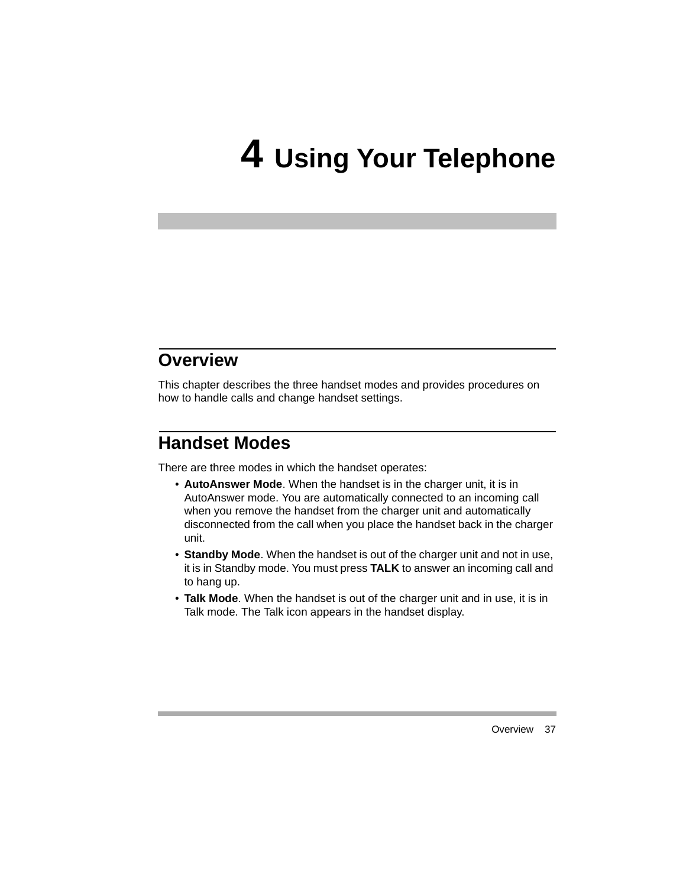# <span id="page-36-3"></span><span id="page-36-0"></span>**4 Using Your Telephone**

# <span id="page-36-1"></span>**Overview**

This chapter describes the three handset modes and provides procedures on how to handle calls and change handset settings.

# <span id="page-36-2"></span>**Handset Modes**

There are three modes in which the handset operates:

- **AutoAnswer Mode**. When the handset is in the charger unit, it is in AutoAnswer mode. You are automatically connected to an incoming call when you remove the handset from the charger unit and automatically disconnected from the call when you place the handset back in the charger unit.
- **Standby Mode**. When the handset is out of the charger unit and not in use, it is in Standby mode. You must press **TALK** to answer an incoming call and to hang up.
- **Talk Mode**. When the handset is out of the charger unit and in use, it is in Talk mode. The Talk icon appears in the handset display.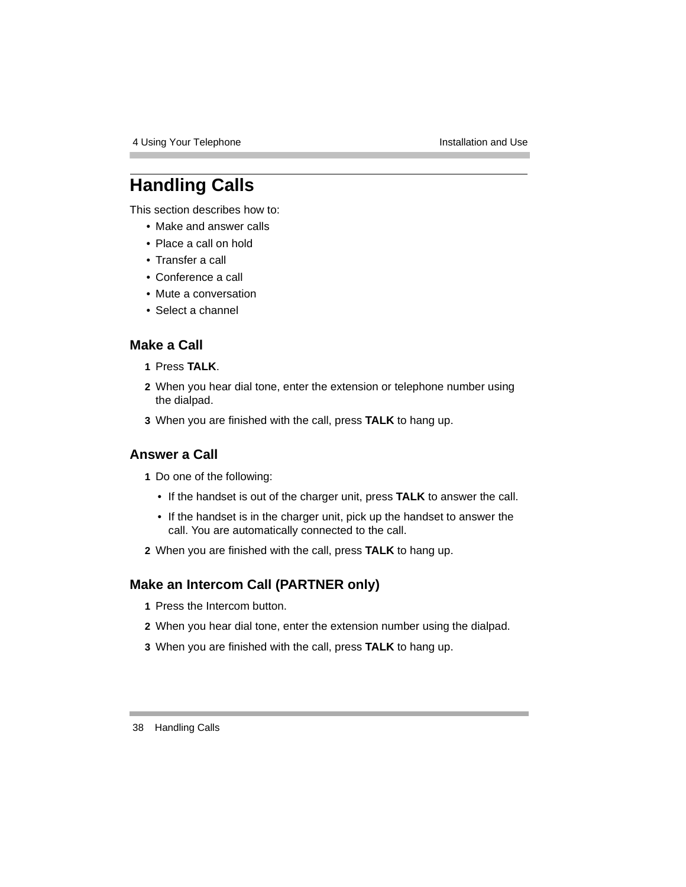# <span id="page-37-0"></span>**Handling Calls**

This section describes how to:

- Make and answer calls
- Place a call on hold
- Transfer a call
- Conference a call
- Mute a conversation
- Select a channel

### <span id="page-37-1"></span>**Make a Call**

- **1** Press **TALK**.
- **2** When you hear dial tone, enter the extension or telephone number using the dialpad.
- **3** When you are finished with the call, press **TALK** to hang up.

#### <span id="page-37-2"></span>**Answer a Call**

- **1** Do one of the following:
	- If the handset is out of the charger unit, press **TALK** to answer the call.
	- If the handset is in the charger unit, pick up the handset to answer the call. You are automatically connected to the call.
- **2** When you are finished with the call, press **TALK** to hang up.

### <span id="page-37-3"></span>**Make an Intercom Call (PARTNER only)**

- **1** Press the Intercom button.
- **2** When you hear dial tone, enter the extension number using the dialpad.
- **3** When you are finished with the call, press **TALK** to hang up.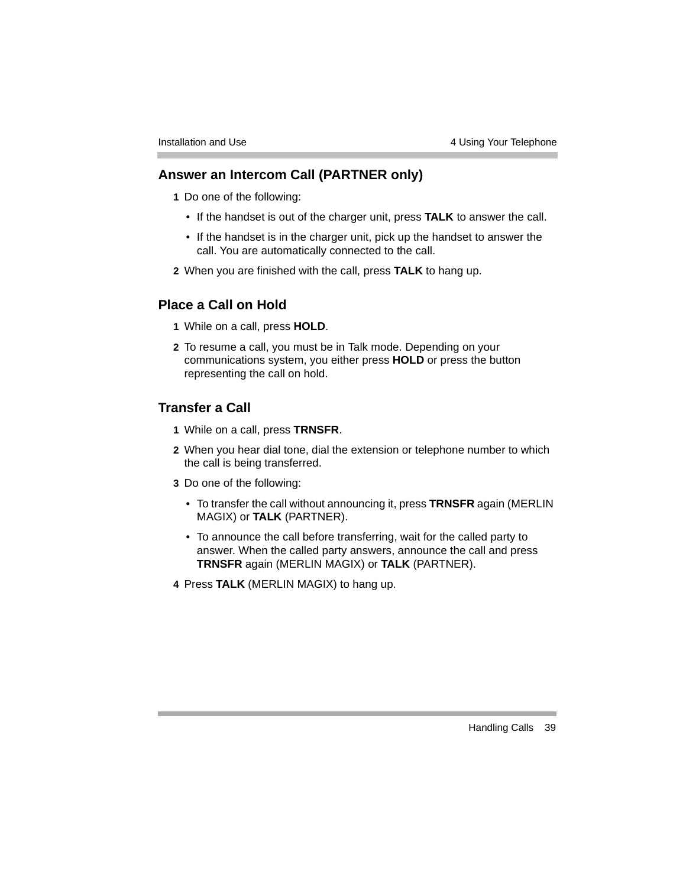#### <span id="page-38-0"></span>**Answer an Intercom Call (PARTNER only)**

- **1** Do one of the following:
	- If the handset is out of the charger unit, press **TALK** to answer the call.
	- If the handset is in the charger unit, pick up the handset to answer the call. You are automatically connected to the call.
- **2** When you are finished with the call, press **TALK** to hang up.

#### <span id="page-38-1"></span>**Place a Call on Hold**

- **1** While on a call, press **HOLD**.
- **2** To resume a call, you must be in Talk mode. Depending on your communications system, you either press **HOLD** or press the button representing the call on hold.

#### <span id="page-38-2"></span>**Transfer a Call**

- **1** While on a call, press **TRNSFR**.
- **2** When you hear dial tone, dial the extension or telephone number to which the call is being transferred.
- **3** Do one of the following:
	- To transfer the call without announcing it, press **TRNSFR** again (MERLIN MAGIX) or **TALK** (PARTNER).
	- To announce the call before transferring, wait for the called party to answer. When the called party answers, announce the call and press **TRNSFR** again (MERLIN MAGIX) or **TALK** (PARTNER).
- **4** Press **TALK** (MERLIN MAGIX) to hang up.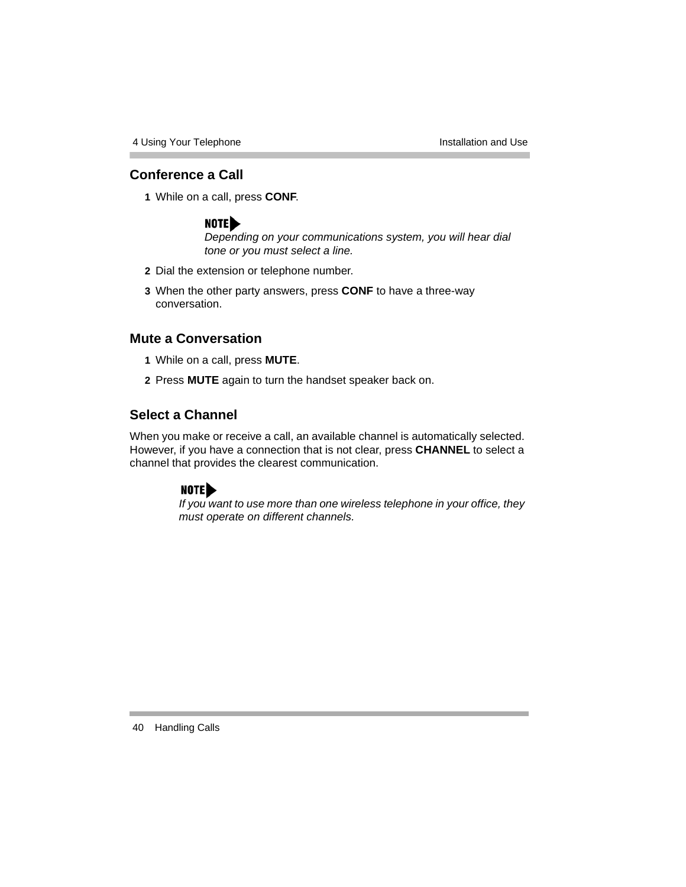#### <span id="page-39-0"></span>**Conference a Call**

**1** While on a call, press **CONF**.

#### NOTE<sup>></sup>

Depending on your communications system, you will hear dial tone or you must select a line.

- **2** Dial the extension or telephone number.
- **3** When the other party answers, press **CONF** to have a three-way conversation.

#### <span id="page-39-1"></span>**Mute a Conversation**

- **1** While on a call, press **MUTE**.
- **2** Press **MUTE** again to turn the handset speaker back on.

#### <span id="page-39-2"></span>**Select a Channel**

When you make or receive a call, an available channel is automatically selected. However, if you have a connection that is not clear, press **CHANNEL** to select a channel that provides the clearest communication.

### NOTE<sup>></sup>

If you want to use more than one wireless telephone in your office, they must operate on different channels.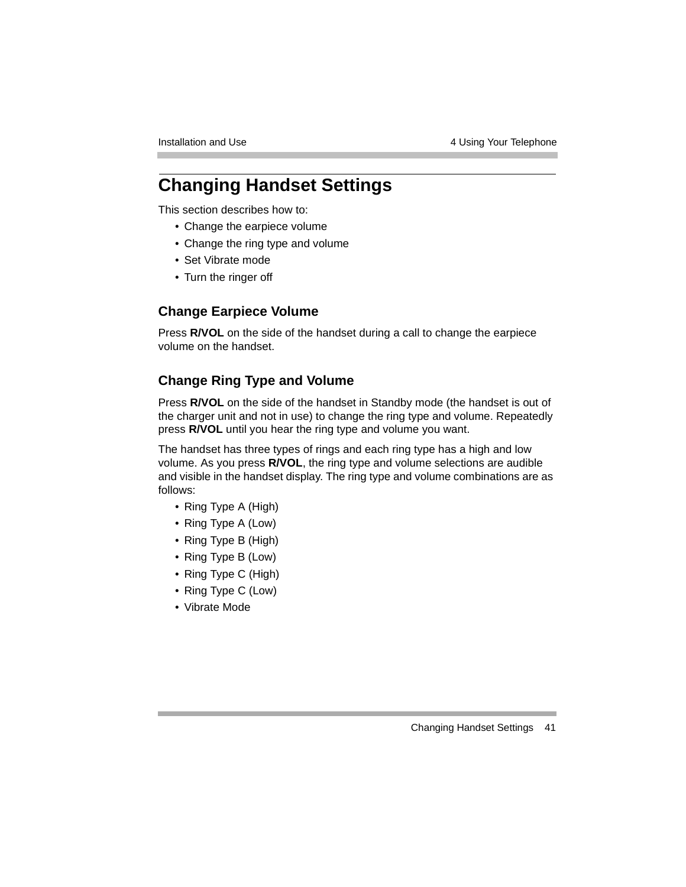# <span id="page-40-0"></span>**Changing Handset Settings**

This section describes how to:

- Change the earpiece volume
- Change the ring type and volume
- Set Vibrate mode
- Turn the ringer off

#### <span id="page-40-1"></span>**Change Earpiece Volume**

Press **R/VOL** on the side of the handset during a call to change the earpiece volume on the handset.

#### <span id="page-40-2"></span>**Change Ring Type and Volume**

Press **R/VOL** on the side of the handset in Standby mode (the handset is out of the charger unit and not in use) to change the ring type and volume. Repeatedly press **R/VOL** until you hear the ring type and volume you want.

The handset has three types of rings and each ring type has a high and low volume. As you press **R/VOL**, the ring type and volume selections are audible and visible in the handset display. The ring type and volume combinations are as follows:

- Ring Type A (High)
- Ring Type A (Low)
- Ring Type B (High)
- Ring Type B (Low)
- Ring Type C (High)
- Ring Type C (Low)
- Vibrate Mode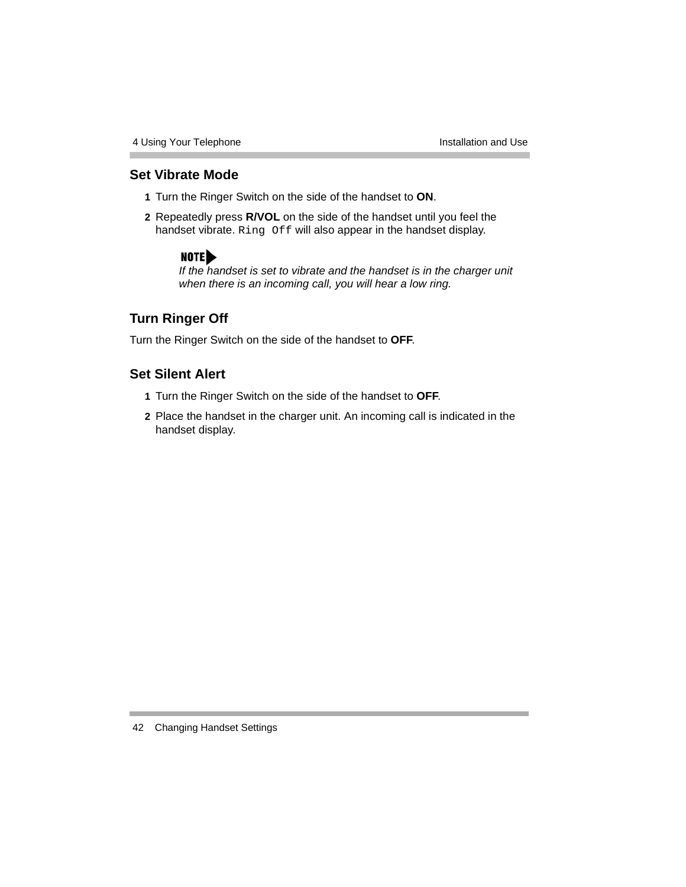#### <span id="page-41-0"></span>**Set Vibrate Mode**

- **1** Turn the Ringer Switch on the side of the handset to **ON**.
- **2** Repeatedly press **R/VOL** on the side of the handset until you feel the handset vibrate. Ring Off will also appear in the handset display.

#### NOTE<sup>></sup>

If the handset is set to vibrate and the handset is in the charger unit when there is an incoming call, you will hear a low ring.

### <span id="page-41-1"></span>**Turn Ringer Off**

Turn the Ringer Switch on the side of the handset to **OFF**.

#### <span id="page-41-2"></span>**Set Silent Alert**

- **1** Turn the Ringer Switch on the side of the handset to **OFF**.
- **2** Place the handset in the charger unit. An incoming call is indicated in the handset display.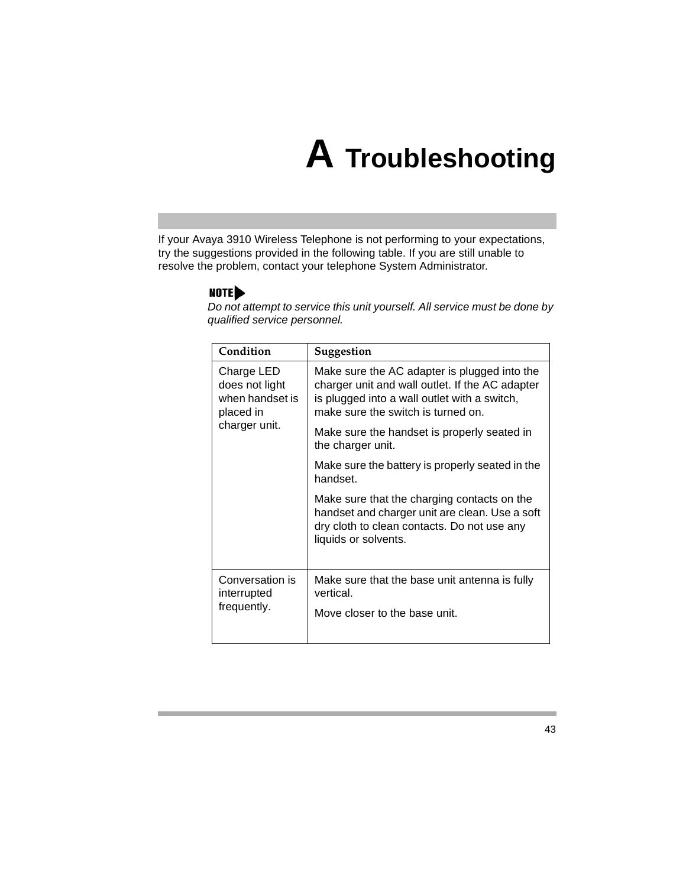# <span id="page-42-1"></span>**A Troubleshooting**

<span id="page-42-0"></span>If your Avaya 3910 Wireless Telephone is not performing to your expectations, try the suggestions provided in the following table. If you are still unable to resolve the problem, contact your telephone System Administrator.

#### NOTE

Do not attempt to service this unit yourself. All service must be done by qualified service personnel.

| Condition                                                    | Suggestion                                                                                                                                                                            |  |  |  |  |
|--------------------------------------------------------------|---------------------------------------------------------------------------------------------------------------------------------------------------------------------------------------|--|--|--|--|
| Charge LED<br>does not light<br>when handset is<br>placed in | Make sure the AC adapter is plugged into the<br>charger unit and wall outlet. If the AC adapter<br>is plugged into a wall outlet with a switch,<br>make sure the switch is turned on. |  |  |  |  |
| charger unit.                                                | Make sure the handset is properly seated in<br>the charger unit.                                                                                                                      |  |  |  |  |
|                                                              | Make sure the battery is properly seated in the<br>handset.                                                                                                                           |  |  |  |  |
|                                                              | Make sure that the charging contacts on the<br>handset and charger unit are clean. Use a soft<br>dry cloth to clean contacts. Do not use any<br>liquids or solvents.                  |  |  |  |  |
| Conversation is<br>interrupted                               | Make sure that the base unit antenna is fully<br>vertical.                                                                                                                            |  |  |  |  |
| frequently.                                                  | Move closer to the base unit.                                                                                                                                                         |  |  |  |  |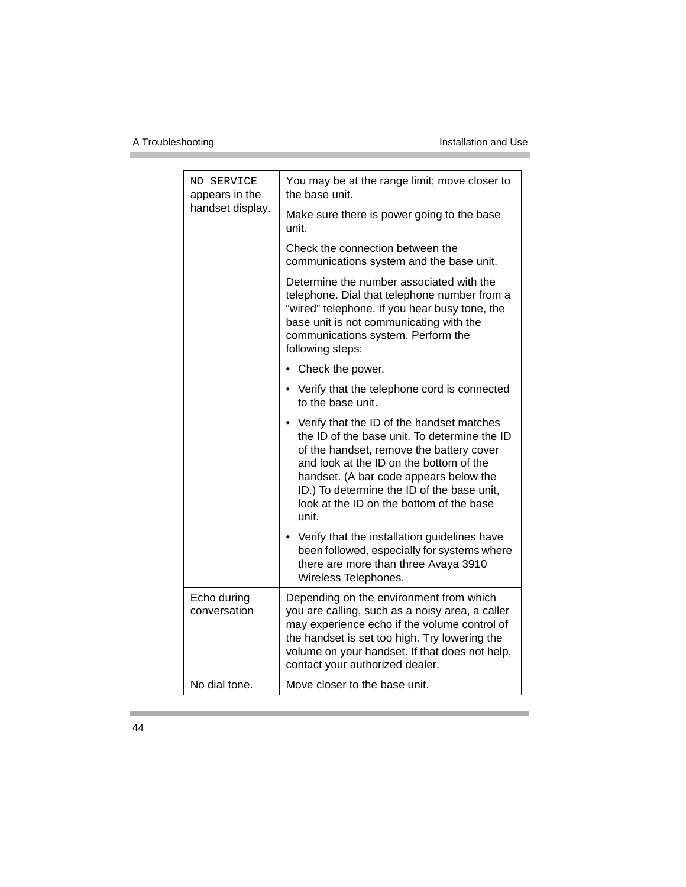| NO SERVICE<br>appears in the | You may be at the range limit; move closer to<br>the base unit.                                                                                                                                                                                                                                                                 |  |  |  |  |  |
|------------------------------|---------------------------------------------------------------------------------------------------------------------------------------------------------------------------------------------------------------------------------------------------------------------------------------------------------------------------------|--|--|--|--|--|
| handset display.             | Make sure there is power going to the base<br>unit.                                                                                                                                                                                                                                                                             |  |  |  |  |  |
|                              | Check the connection between the<br>communications system and the base unit.                                                                                                                                                                                                                                                    |  |  |  |  |  |
|                              | Determine the number associated with the<br>telephone. Dial that telephone number from a<br>"wired" telephone. If you hear busy tone, the<br>base unit is not communicating with the<br>communications system. Perform the<br>following steps:                                                                                  |  |  |  |  |  |
|                              | Check the power.                                                                                                                                                                                                                                                                                                                |  |  |  |  |  |
|                              | Verify that the telephone cord is connected<br>to the base unit.                                                                                                                                                                                                                                                                |  |  |  |  |  |
|                              | • Verify that the ID of the handset matches<br>the ID of the base unit. To determine the ID<br>of the handset, remove the battery cover<br>and look at the ID on the bottom of the<br>handset. (A bar code appears below the<br>ID.) To determine the ID of the base unit,<br>look at the ID on the bottom of the base<br>unit. |  |  |  |  |  |
|                              | • Verify that the installation guidelines have<br>been followed, especially for systems where<br>there are more than three Avaya 3910<br>Wireless Telephones.                                                                                                                                                                   |  |  |  |  |  |
| Echo during<br>conversation  | Depending on the environment from which<br>you are calling, such as a noisy area, a caller<br>may experience echo if the volume control of<br>the handset is set too high. Try lowering the<br>volume on your handset. If that does not help,<br>contact your authorized dealer.                                                |  |  |  |  |  |
| No dial tone.                | Move closer to the base unit.                                                                                                                                                                                                                                                                                                   |  |  |  |  |  |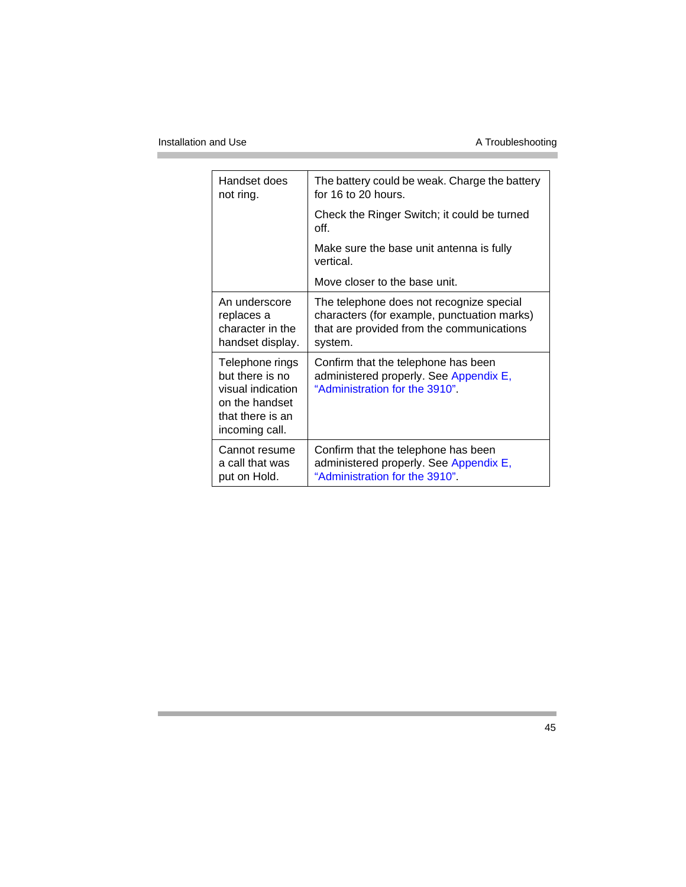г

the control of the control of the

| Handset does<br>not ring.                                                                                       | The battery could be weak. Charge the battery<br>for 16 to 20 hours.                                                                            |  |  |  |
|-----------------------------------------------------------------------------------------------------------------|-------------------------------------------------------------------------------------------------------------------------------------------------|--|--|--|
|                                                                                                                 | Check the Ringer Switch; it could be turned<br>off.                                                                                             |  |  |  |
|                                                                                                                 | Make sure the base unit antenna is fully<br>vertical.                                                                                           |  |  |  |
|                                                                                                                 | Move closer to the base unit.                                                                                                                   |  |  |  |
| An underscore<br>replaces a<br>character in the<br>handset display.                                             | The telephone does not recognize special<br>characters (for example, punctuation marks)<br>that are provided from the communications<br>system. |  |  |  |
| Telephone rings<br>but there is no<br>visual indication<br>on the handset<br>that there is an<br>incoming call. | Confirm that the telephone has been<br>administered properly. See Appendix E,<br>"Administration for the 3910"                                  |  |  |  |
| Cannot resume<br>a call that was<br>put on Hold.                                                                | Confirm that the telephone has been<br>administered properly. See Appendix E,<br>"Administration for the 3910"                                  |  |  |  |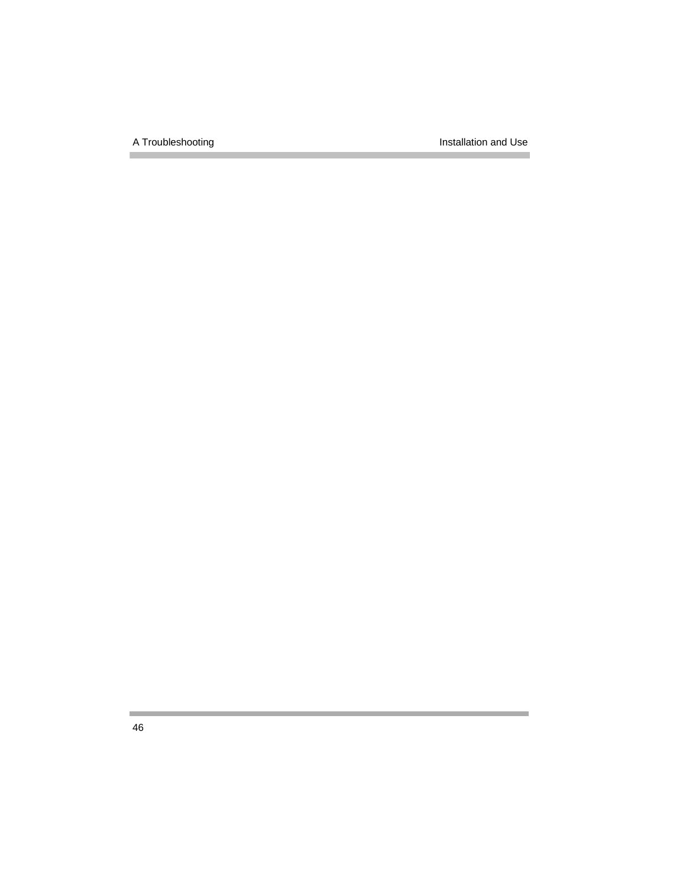۰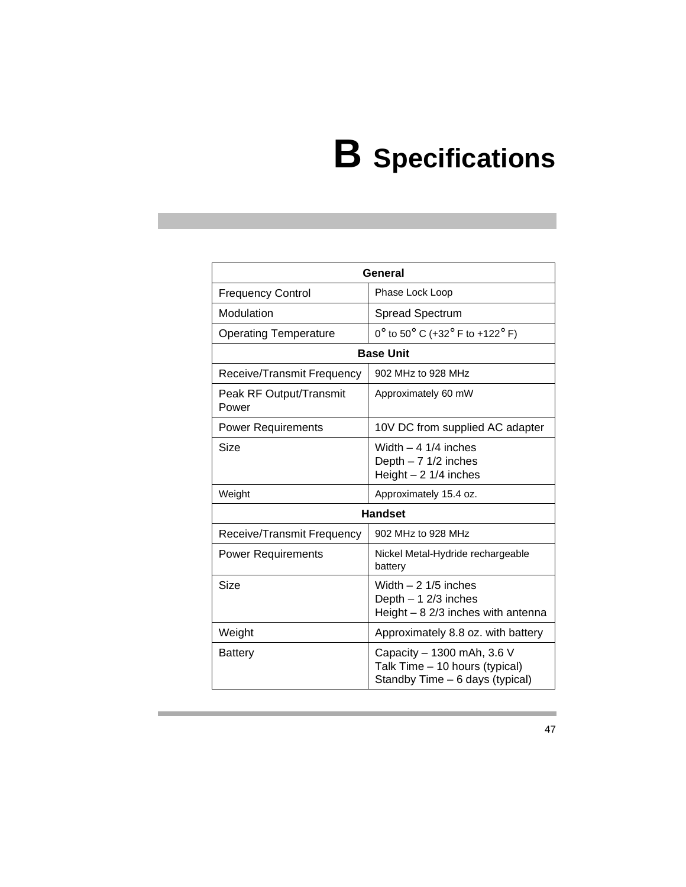# <span id="page-46-1"></span>**B Specifications**

<span id="page-46-0"></span>

| General                          |                                                                                                 |  |  |  |
|----------------------------------|-------------------------------------------------------------------------------------------------|--|--|--|
| <b>Frequency Control</b>         | Phase Lock Loop                                                                                 |  |  |  |
| Modulation                       | <b>Spread Spectrum</b>                                                                          |  |  |  |
| <b>Operating Temperature</b>     | 0° to 50° C (+32° F to +122° F)                                                                 |  |  |  |
|                                  | <b>Base Unit</b>                                                                                |  |  |  |
| Receive/Transmit Frequency       | 902 MHz to 928 MHz                                                                              |  |  |  |
| Peak RF Output/Transmit<br>Power | Approximately 60 mW                                                                             |  |  |  |
| <b>Power Requirements</b>        | 10V DC from supplied AC adapter                                                                 |  |  |  |
| Size                             | Width $-4$ 1/4 inches<br>Depth $-7$ 1/2 inches<br>Height $-2$ 1/4 inches                        |  |  |  |
| Weight                           | Approximately 15.4 oz.                                                                          |  |  |  |
| <b>Handset</b>                   |                                                                                                 |  |  |  |
| Receive/Transmit Frequency       | 902 MHz to 928 MHz                                                                              |  |  |  |
| <b>Power Requirements</b>        | Nickel Metal-Hydride rechargeable<br>battery                                                    |  |  |  |
| Size                             | Width $-2$ 1/5 inches<br>Depth $-1$ 2/3 inches<br>Height $-8$ 2/3 inches with antenna           |  |  |  |
| Weight                           | Approximately 8.8 oz. with battery                                                              |  |  |  |
| <b>Battery</b>                   | Capacity - 1300 mAh, 3.6 V<br>Talk Time - 10 hours (typical)<br>Standby Time - 6 days (typical) |  |  |  |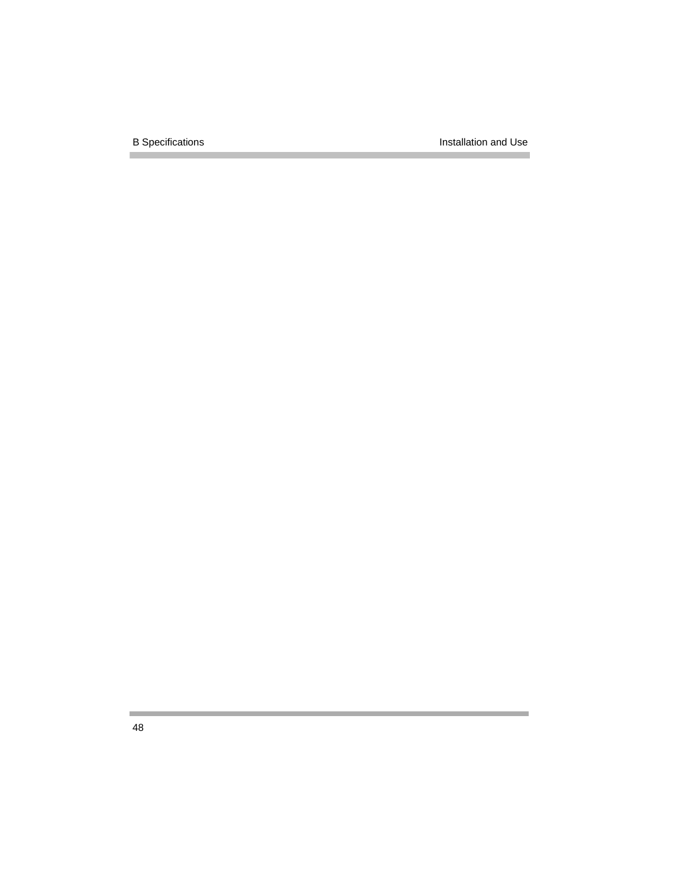<u> 1989 - Johann Barnett, mars eta indonez erroman erroman erroman erroman erroman erroman erroman erroman errom</u>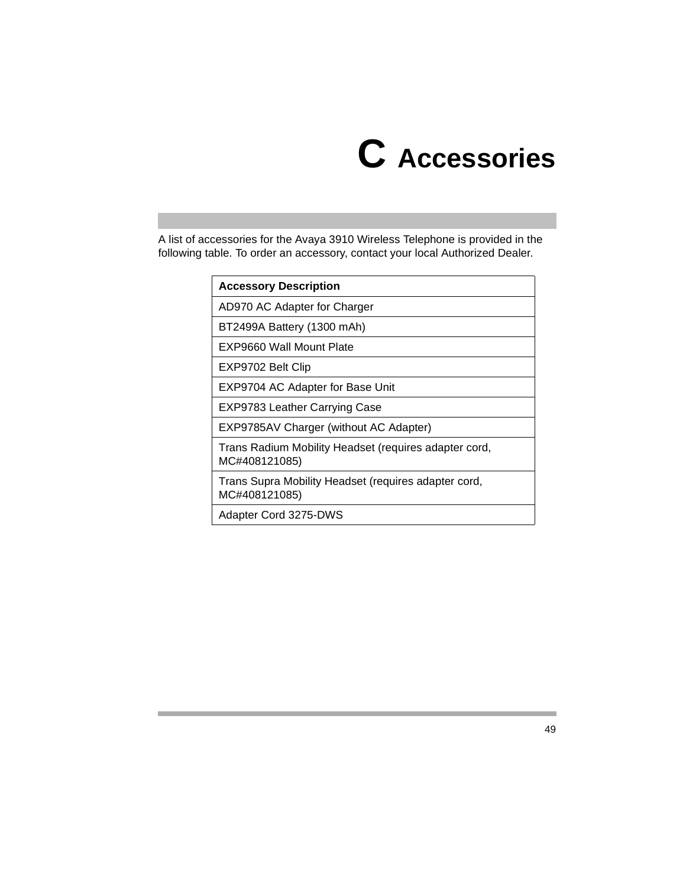# <span id="page-48-1"></span>**C Accessories**

<span id="page-48-0"></span>A list of accessories for the Avaya 3910 Wireless Telephone is provided in the following table. To order an accessory, contact your local Authorized Dealer.

| <b>Accessory Description</b>                                           |  |  |  |
|------------------------------------------------------------------------|--|--|--|
| AD970 AC Adapter for Charger                                           |  |  |  |
| BT2499A Battery (1300 mAh)                                             |  |  |  |
| EXP9660 Wall Mount Plate                                               |  |  |  |
| EXP9702 Belt Clip                                                      |  |  |  |
| EXP9704 AC Adapter for Base Unit                                       |  |  |  |
| <b>EXP9783 Leather Carrying Case</b>                                   |  |  |  |
| EXP9785AV Charger (without AC Adapter)                                 |  |  |  |
| Trans Radium Mobility Headset (requires adapter cord,<br>MC#408121085) |  |  |  |
| Trans Supra Mobility Headset (requires adapter cord,<br>MC#408121085)  |  |  |  |
| Adapter Cord 3275-DWS                                                  |  |  |  |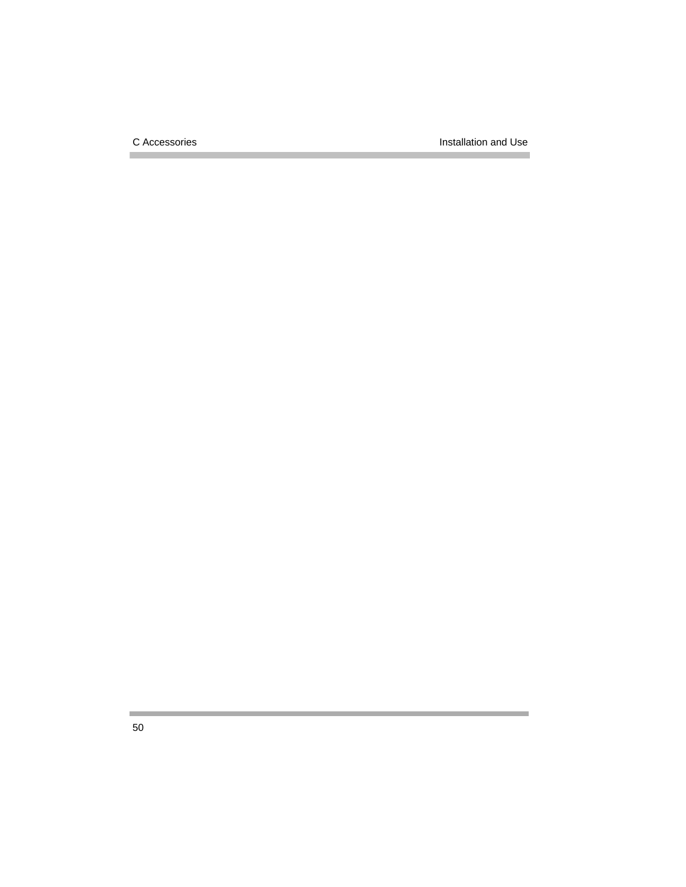۰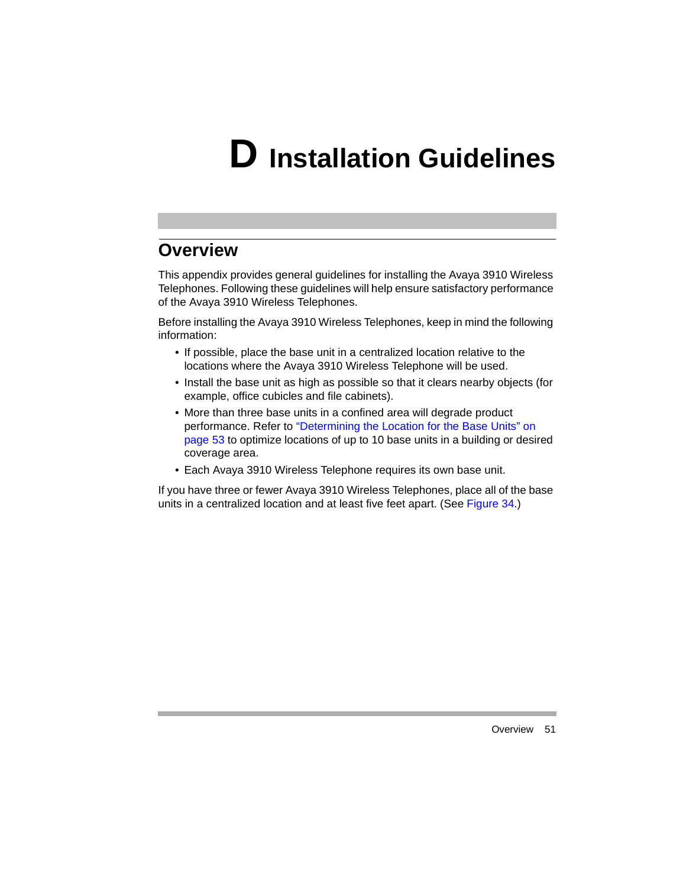# <span id="page-50-2"></span><span id="page-50-0"></span>**D Installation Guidelines**

# <span id="page-50-1"></span>**Overview**

This appendix provides general guidelines for installing the Avaya 3910 Wireless Telephones. Following these guidelines will help ensure satisfactory performance of the Avaya 3910 Wireless Telephones.

Before installing the Avaya 3910 Wireless Telephones, keep in mind the following information:

- If possible, place the base unit in a centralized location relative to the locations where the Avaya 3910 Wireless Telephone will be used.
- Install the base unit as high as possible so that it clears nearby objects (for example, office cubicles and file cabinets).
- More than three base units in a confined area will degrade product performance. Refer to ["Determining the Location for the Base Units" on](#page-52-0)  [page 53](#page-52-0) to optimize locations of up to 10 base units in a building or desired coverage area.
- Each Avaya 3910 Wireless Telephone requires its own base unit.

If you have three or fewer Avaya 3910 Wireless Telephones, place all of the base units in a centralized location and at least five feet apart. (See [Figure 34](#page-51-0).)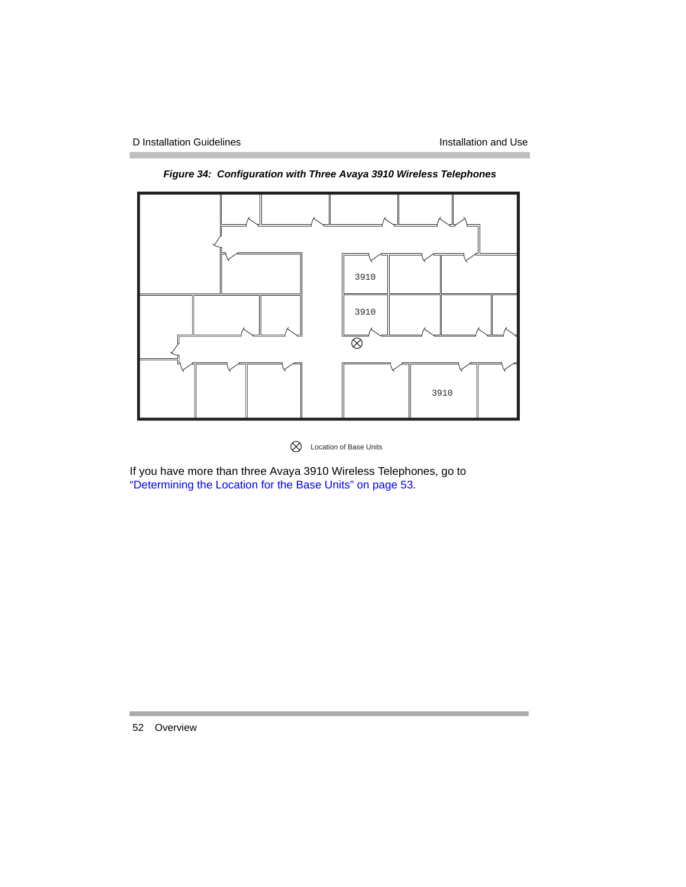<span id="page-51-0"></span>

 **Figure 34: Configuration with Three Avaya 3910 Wireless Telephones**

 $\oslash$  Location of Base Units

If you have more than three Avaya 3910 Wireless Telephones, go to ["Determining the Location for the Base Units" on page 53.](#page-52-0)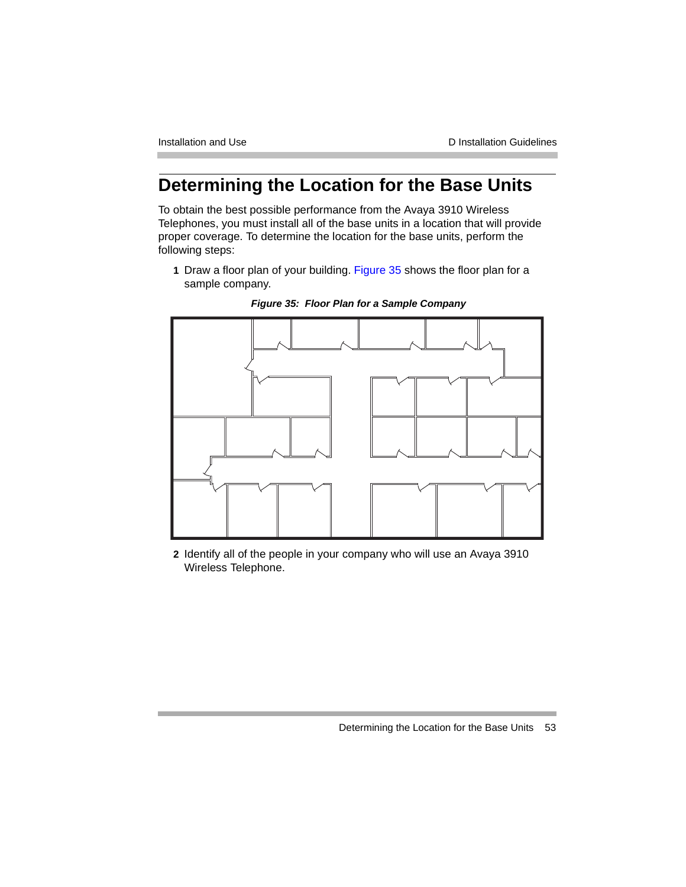### <span id="page-52-0"></span>**Determining the Location for the Base Units**

To obtain the best possible performance from the Avaya 3910 Wireless Telephones, you must install all of the base units in a location that will provide proper coverage. To determine the location for the base units, perform the following steps:

**1** Draw a floor plan of your building. [Figure 35](#page-52-1) shows the floor plan for a sample company.

<span id="page-52-1"></span>

 **Figure 35: Floor Plan for a Sample Company**

**2** Identify all of the people in your company who will use an Avaya 3910 Wireless Telephone.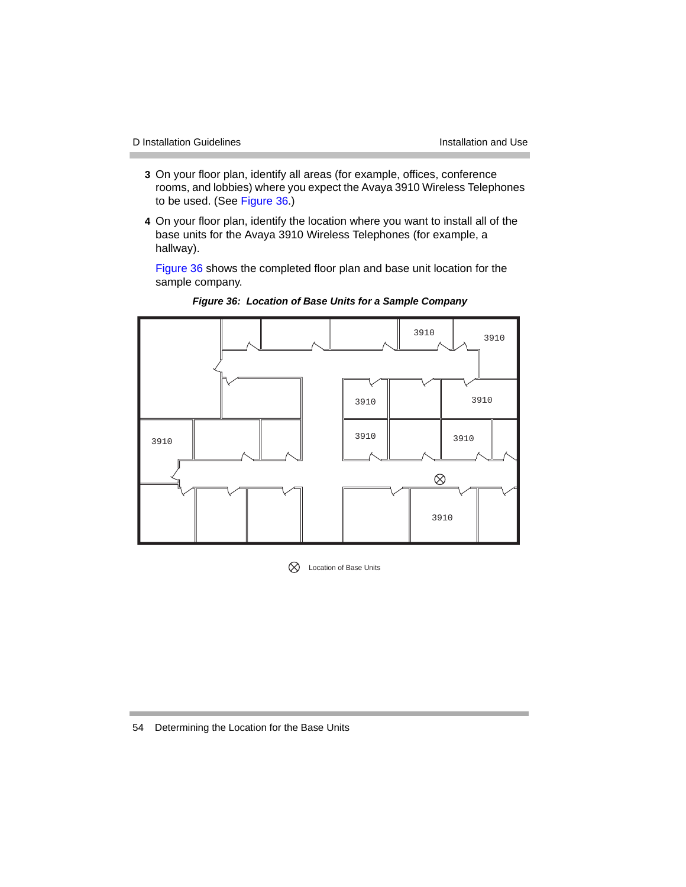- **3** On your floor plan, identify all areas (for example, offices, conference rooms, and lobbies) where you expect the Avaya 3910 Wireless Telephones to be used. (See [Figure 36](#page-53-0).)
- **4** On your floor plan, identify the location where you want to install all of the base units for the Avaya 3910 Wireless Telephones (for example, a hallway).

[Figure 36](#page-53-0) shows the completed floor plan and base unit location for the sample company.

<span id="page-53-0"></span>

 **Figure 36: Location of Base Units for a Sample Company**

 $\otimes$ 

Location of Base Units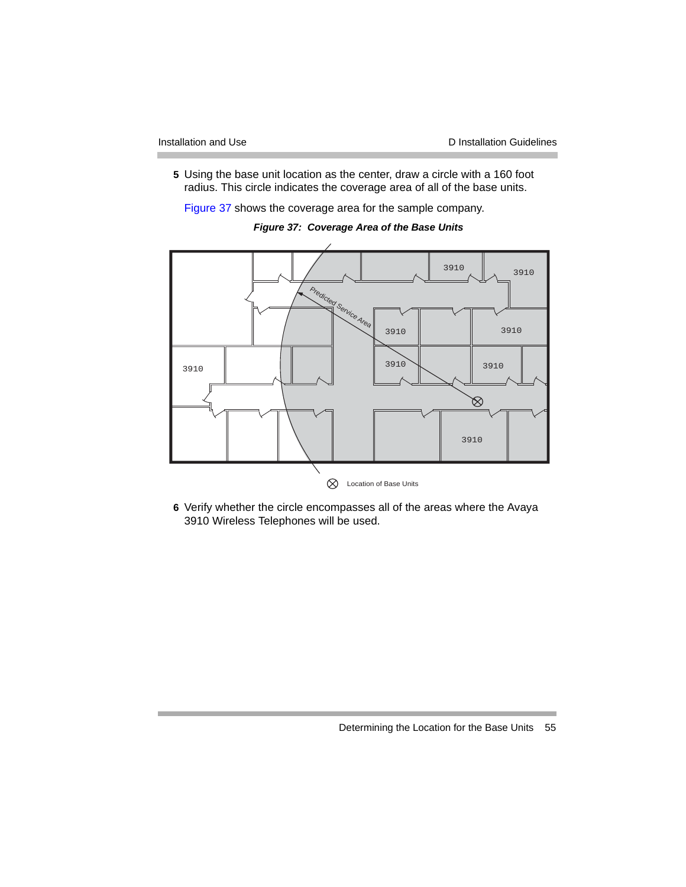**5** Using the base unit location as the center, draw a circle with a 160 foot radius. This circle indicates the coverage area of all of the base units.

[Figure 37](#page-54-0) shows the coverage area for the sample company.

<span id="page-54-0"></span>



**6** Verify whether the circle encompasses all of the areas where the Avaya 3910 Wireless Telephones will be used.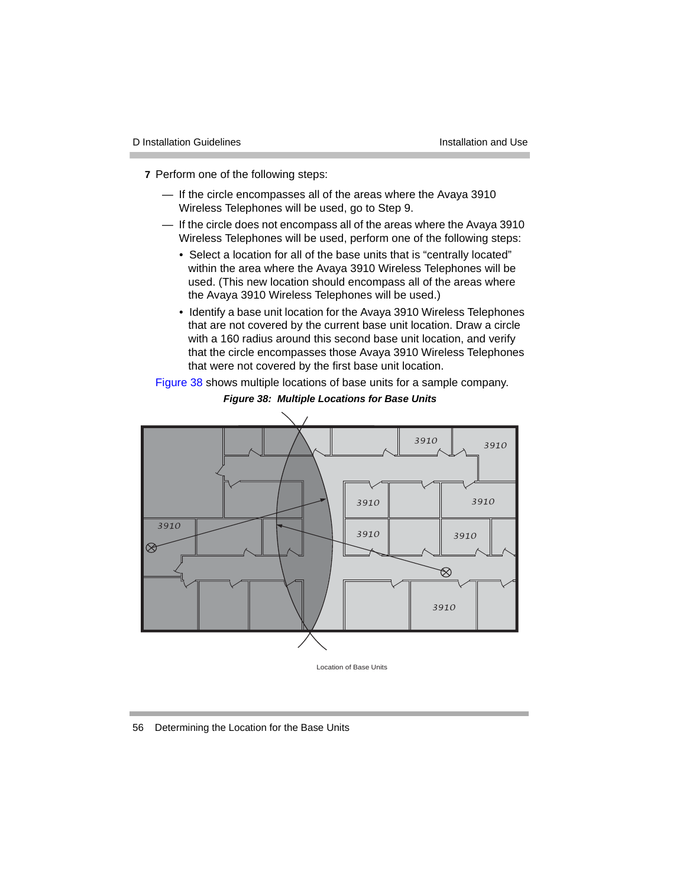- **7** Perform one of the following steps:
	- If the circle encompasses all of the areas where the Avaya 3910 Wireless Telephones will be used, go to Step 9.
	- If the circle does not encompass all of the areas where the Avaya 3910 Wireless Telephones will be used, perform one of the following steps:
		- Select a location for all of the base units that is "centrally located" within the area where the Avaya 3910 Wireless Telephones will be used. (This new location should encompass all of the areas where the Avaya 3910 Wireless Telephones will be used.)
		- Identify a base unit location for the Avaya 3910 Wireless Telephones that are not covered by the current base unit location. Draw a circle with a 160 radius around this second base unit location, and verify that the circle encompasses those Avaya 3910 Wireless Telephones that were not covered by the first base unit location.

[Figure 38](#page-55-0) shows multiple locations of base units for a sample company.



<span id="page-55-0"></span>

Location of Base Units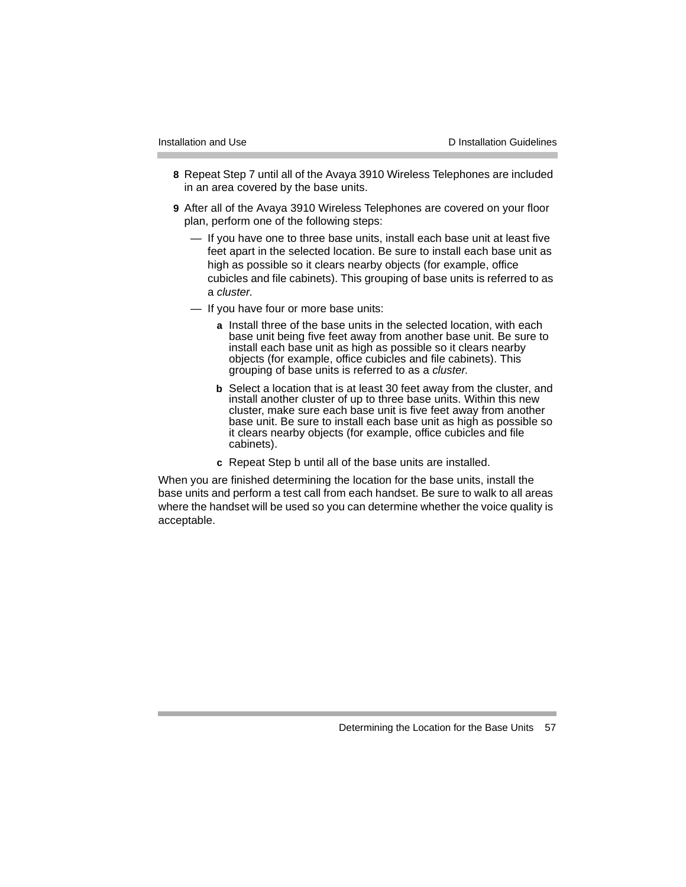- **8** Repeat Step 7 until all of the Avaya 3910 Wireless Telephones are included in an area covered by the base units.
- **9** After all of the Avaya 3910 Wireless Telephones are covered on your floor plan, perform one of the following steps:
	- If you have one to three base units, install each base unit at least five feet apart in the selected location. Be sure to install each base unit as high as possible so it clears nearby objects (for example, office cubicles and file cabinets). This grouping of base units is referred to as a cluster.
	- If you have four or more base units:
		- **a** Install three of the base units in the selected location, with each base unit being five feet away from another base unit. Be sure to install each base unit as high as possible so it clears nearby objects (for example, office cubicles and file cabinets). This grouping of base units is referred to as a cluster.
		- **b** Select a location that is at least 30 feet away from the cluster, and install another cluster of up to three base units. Within this new cluster, make sure each base unit is five feet away from another base unit. Be sure to install each base unit as high as possible so it clears nearby objects (for example, office cubicles and file cabinets).
		- **c** Repeat Step b until all of the base units are installed.

When you are finished determining the location for the base units, install the base units and perform a test call from each handset. Be sure to walk to all areas where the handset will be used so you can determine whether the voice quality is acceptable.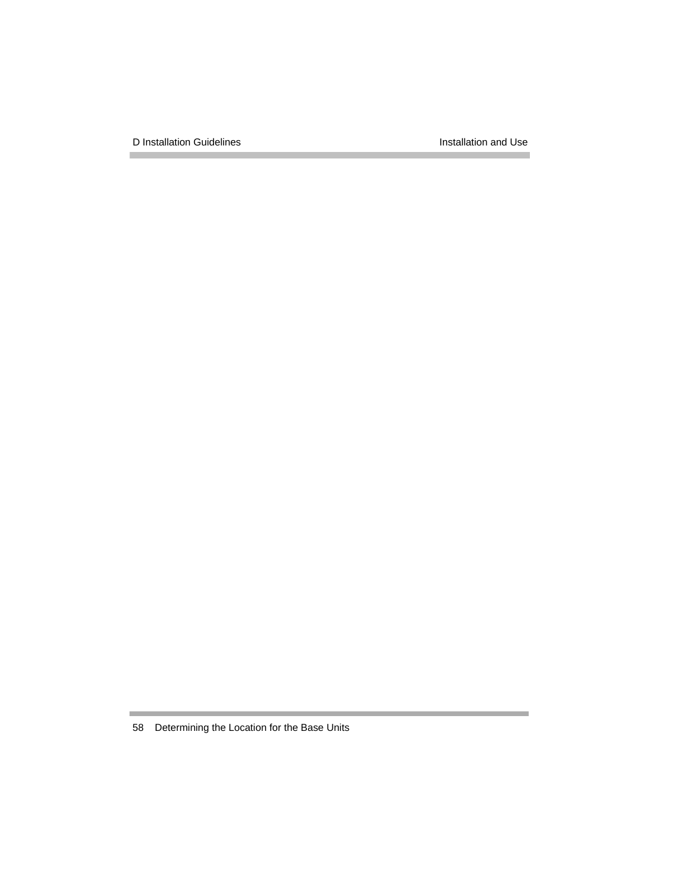and the state of the state of the state of the state of the state of the state of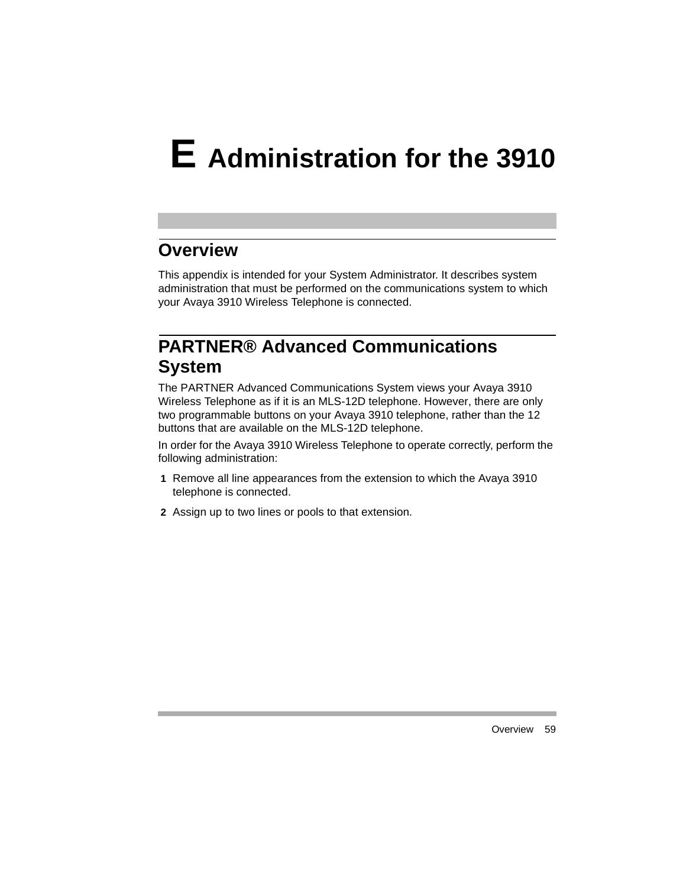# <span id="page-58-3"></span><span id="page-58-0"></span>**E Administration for the 3910**

# <span id="page-58-1"></span>**Overview**

This appendix is intended for your System Administrator. It describes system administration that must be performed on the communications system to which your Avaya 3910 Wireless Telephone is connected.

# <span id="page-58-2"></span>**PARTNER® Advanced Communications System**

The PARTNER Advanced Communications System views your Avaya 3910 Wireless Telephone as if it is an MLS-12D telephone. However, there are only two programmable buttons on your Avaya 3910 telephone, rather than the 12 buttons that are available on the MLS-12D telephone.

In order for the Avaya 3910 Wireless Telephone to operate correctly, perform the following administration:

- **1** Remove all line appearances from the extension to which the Avaya 3910 telephone is connected.
- **2** Assign up to two lines or pools to that extension.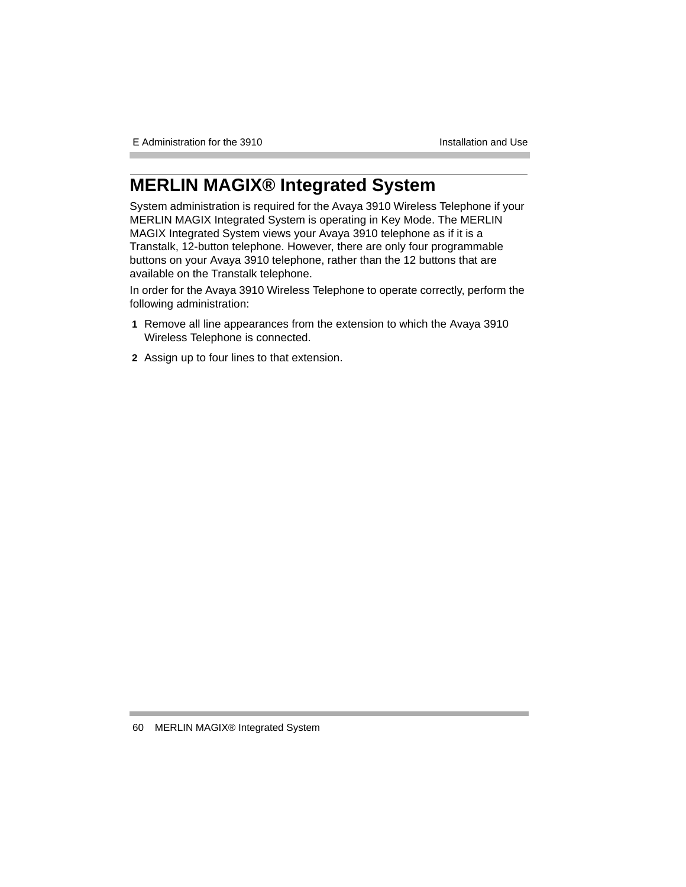# <span id="page-59-0"></span>**MERLIN MAGIX® Integrated System**

System administration is required for the Avaya 3910 Wireless Telephone if your MERLIN MAGIX Integrated System is operating in Key Mode. The MERLIN MAGIX Integrated System views your Avaya 3910 telephone as if it is a Transtalk, 12-button telephone. However, there are only four programmable buttons on your Avaya 3910 telephone, rather than the 12 buttons that are available on the Transtalk telephone.

In order for the Avaya 3910 Wireless Telephone to operate correctly, perform the following administration:

- **1** Remove all line appearances from the extension to which the Avaya 3910 Wireless Telephone is connected.
- **2** Assign up to four lines to that extension.